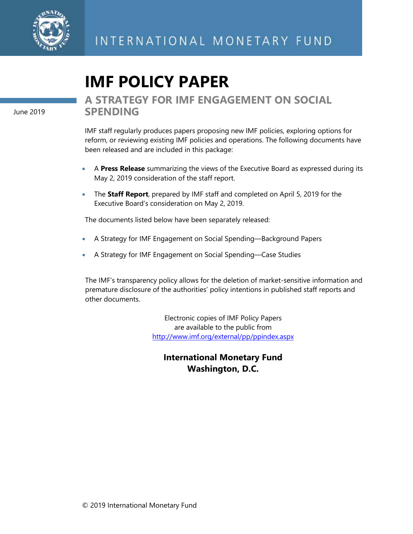

# **IMF POLICY PAPER**

June 2019

## **A STRATEGY FOR IMF ENGAGEMENT ON SOCIAL SPENDING**

IMF staff regularly produces papers proposing new IMF policies, exploring options for reform, or reviewing existing IMF policies and operations. The following documents have been released and are included in this package:

- A **Press Release** summarizing the views of the Executive Board as expressed during its May 2, 2019 consideration of the staff report.
- The **Staff Report**, prepared by IMF staff and completed on April 5, 2019 for the Executive Board's consideration on May 2, 2019.

The documents listed below have been separately released:

- A Strategy for IMF Engagement on Social Spending—Background Papers
- A Strategy for IMF Engagement on Social Spending—Case Studies

The IMF's transparency policy allows for the deletion of market-sensitive information and premature disclosure of the authorities' policy intentions in published staff reports and other documents.

> Electronic copies of IMF Policy Papers are available to the public from <http://www.imf.org/external/pp/ppindex.aspx>

## **International Monetary Fund Washington, D.C.**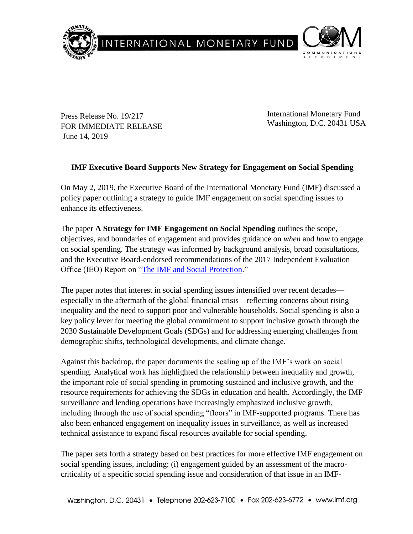

Press Release No. 19/217 FOR IMMEDIATE RELEASE June 14, 2019

International Monetary Fund Washington, D.C. 20431 USA

## **IMF Executive Board Supports New Strategy for Engagement on Social Spending**

On May 2, 2019, the Executive Board of the International Monetary Fund (IMF) discussed a policy paper outlining a strategy to guide IMF engagement on social spending issues to enhance its effectiveness.

The paper **A Strategy for IMF Engagement on Social Spending** outlines the scope, objectives, and boundaries of engagement and provides guidance on *when* and *how* to engage on social spending. The strategy was informed by background analysis, broad consultations, and the Executive Board-endorsed recommendations of the 2017 Independent Evaluation Office (IEO) Report on ["The IMF and Social Protection.](https://www.imf.org/ieo/pages/EvaluationImages279.aspx)"

The paper notes that interest in social spending issues intensified over recent decades especially in the aftermath of the global financial crisis—reflecting concerns about rising inequality and the need to support poor and vulnerable households. Social spending is also a key policy lever for meeting the global commitment to support inclusive growth through the 2030 Sustainable Development Goals (SDGs) and for addressing emerging challenges from demographic shifts, technological developments, and climate change.

Against this backdrop, the paper documents the scaling up of the IMF's work on social spending. Analytical work has highlighted the relationship between inequality and growth, the important role of social spending in promoting sustained and inclusive growth, and the resource requirements for achieving the SDGs in education and health. Accordingly, the IMF surveillance and lending operations have increasingly emphasized inclusive growth, including through the use of social spending "floors" in IMF-supported programs. There has also been enhanced engagement on inequality issues in surveillance, as well as increased technical assistance to expand fiscal resources available for social spending.

The paper sets forth a strategy based on best practices for more effective IMF engagement on social spending issues, including: (i) engagement guided by an assessment of the macrocriticality of a specific social spending issue and consideration of that issue in an IMF-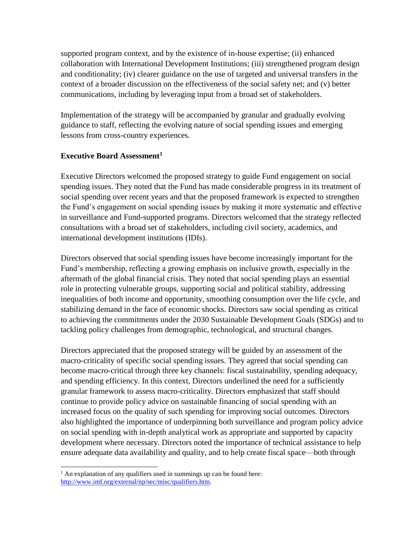supported program context, and by the existence of in-house expertise; (ii) enhanced collaboration with International Development Institutions; (iii) strengthened program design and conditionality; (iv) clearer guidance on the use of targeted and universal transfers in the context of a broader discussion on the effectiveness of the social safety net; and (v) better communications, including by leveraging input from a broad set of stakeholders.

Implementation of the strategy will be accompanied by granular and gradually evolving guidance to staff, reflecting the evolving nature of social spending issues and emerging lessons from cross-country experiences.

## **Executive Board Assessment<sup>1</sup>**

Executive Directors welcomed the proposed strategy to guide Fund engagement on social spending issues. They noted that the Fund has made considerable progress in its treatment of social spending over recent years and that the proposed framework is expected to strengthen the Fund's engagement on social spending issues by making it more systematic and effective in surveillance and Fund-supported programs. Directors welcomed that the strategy reflected consultations with a broad set of stakeholders, including civil society, academics, and international development institutions (IDIs).

Directors observed that social spending issues have become increasingly important for the Fund's membership, reflecting a growing emphasis on inclusive growth, especially in the aftermath of the global financial crisis. They noted that social spending plays an essential role in protecting vulnerable groups, supporting social and political stability, addressing inequalities of both income and opportunity, smoothing consumption over the life cycle, and stabilizing demand in the face of economic shocks. Directors saw social spending as critical to achieving the commitments under the 2030 Sustainable Development Goals (SDGs) and to tackling policy challenges from demographic, technological, and structural changes.

Directors appreciated that the proposed strategy will be guided by an assessment of the macro-criticality of specific social spending issues. They agreed that social spending can become macro-critical through three key channels: fiscal sustainability, spending adequacy, and spending efficiency. In this context, Directors underlined the need for a sufficiently granular framework to assess macro-criticality. Directors emphasized that staff should continue to provide policy advice on sustainable financing of social spending with an increased focus on the quality of such spending for improving social outcomes. Directors also highlighted the importance of underpinning both surveillance and program policy advice on social spending with in-depth analytical work as appropriate and supported by capacity development where necessary. Directors noted the importance of technical assistance to help ensure adequate data availability and quality, and to help create fiscal space—both through

 $\overline{\phantom{a}}$ 

<sup>&</sup>lt;sup>1</sup> An explanation of any qualifiers used in summings up can be found here: [http://www.imf.org/external/np/sec/misc/qualifiers.htm.](http://www.imf.org/external/np/sec/misc/qualifiers.htm)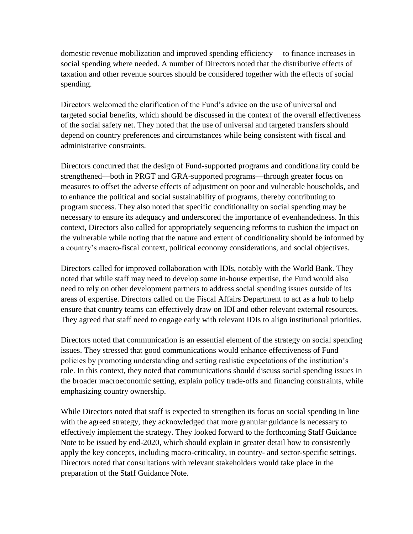domestic revenue mobilization and improved spending efficiency— to finance increases in social spending where needed. A number of Directors noted that the distributive effects of taxation and other revenue sources should be considered together with the effects of social spending.

Directors welcomed the clarification of the Fund's advice on the use of universal and targeted social benefits, which should be discussed in the context of the overall effectiveness of the social safety net. They noted that the use of universal and targeted transfers should depend on country preferences and circumstances while being consistent with fiscal and administrative constraints.

Directors concurred that the design of Fund-supported programs and conditionality could be strengthened—both in PRGT and GRA-supported programs—through greater focus on measures to offset the adverse effects of adjustment on poor and vulnerable households, and to enhance the political and social sustainability of programs, thereby contributing to program success. They also noted that specific conditionality on social spending may be necessary to ensure its adequacy and underscored the importance of evenhandedness. In this context, Directors also called for appropriately sequencing reforms to cushion the impact on the vulnerable while noting that the nature and extent of conditionality should be informed by a country's macro-fiscal context, political economy considerations, and social objectives.

Directors called for improved collaboration with IDIs, notably with the World Bank. They noted that while staff may need to develop some in-house expertise, the Fund would also need to rely on other development partners to address social spending issues outside of its areas of expertise. Directors called on the Fiscal Affairs Department to act as a hub to help ensure that country teams can effectively draw on IDI and other relevant external resources. They agreed that staff need to engage early with relevant IDIs to align institutional priorities.

Directors noted that communication is an essential element of the strategy on social spending issues. They stressed that good communications would enhance effectiveness of Fund policies by promoting understanding and setting realistic expectations of the institution's role. In this context, they noted that communications should discuss social spending issues in the broader macroeconomic setting, explain policy trade-offs and financing constraints, while emphasizing country ownership.

While Directors noted that staff is expected to strengthen its focus on social spending in line with the agreed strategy, they acknowledged that more granular guidance is necessary to effectively implement the strategy. They looked forward to the forthcoming Staff Guidance Note to be issued by end-2020, which should explain in greater detail how to consistently apply the key concepts, including macro-criticality, in country- and sector-specific settings. Directors noted that consultations with relevant stakeholders would take place in the preparation of the Staff Guidance Note.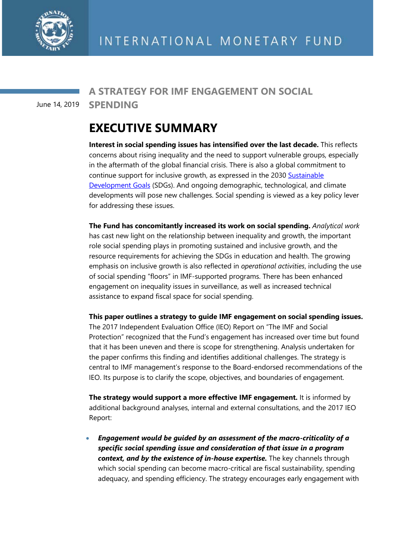

## **A STRATEGY FOR IMF ENGAGEMENT ON SOCIAL**

**SPENDING** June 14, 2019

## **EXECUTIVE SUMMARY**

**Interest in social spending issues has intensified over the last decade.** This reflects concerns about rising inequality and the need to support vulnerable groups, especially in the aftermath of the global financial crisis. There is also a global commitment to continue support for inclusive growth, as expressed in the 2030 Sustainable [Development Goals](https://www.un.org/sustainabledevelopment/sustainable-development-goals/) (SDGs). And ongoing demographic, technological, and climate developments will pose new challenges. Social spending is viewed as a key policy lever for addressing these issues.

**The Fund has concomitantly increased its work on social spending.** *Analytical work* has cast new light on the relationship between inequality and growth, the important role social spending plays in promoting sustained and inclusive growth, and the resource requirements for achieving the SDGs in education and health. The growing emphasis on inclusive growth is also reflected in *operational activities*, including the use of social spending "floors" in IMF-supported programs. There has been enhanced engagement on inequality issues in surveillance, as well as increased technical assistance to expand fiscal space for social spending.

**This paper outlines a strategy to guide IMF engagement on social spending issues.** The 2017 Independent Evaluation Office (IEO) Report on "The IMF and Social Protection" recognized that the Fund's engagement has increased over time but found that it has been uneven and there is scope for strengthening. Analysis undertaken for the paper confirms this finding and identifies additional challenges. The strategy is central to IMF management's response to the Board-endorsed recommendations of the IEO. Its purpose is to clarify the scope, objectives, and boundaries of engagement.

**The strategy would support a more effective IMF engagement.** It is informed by additional background analyses, internal and external consultations, and the 2017 IEO Report:

• *Engagement would be guided by an assessment of the macro-criticality of a specific social spending issue and consideration of that issue in a program context, and by the existence of in-house expertise.* The key channels through which social spending can become macro-critical are fiscal sustainability, spending adequacy, and spending efficiency. The strategy encourages early engagement with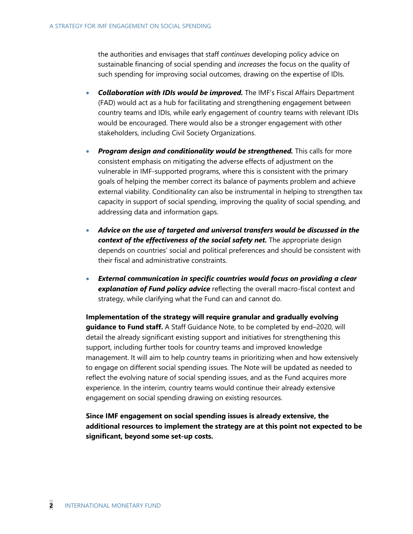the authorities and envisages that staff *continues* developing policy advice on sustainable financing of social spending and *increases* the focus on the quality of such spending for improving social outcomes, drawing on the expertise of IDIs.

- *Collaboration with IDIs would be improved.* The IMF's Fiscal Affairs Department (FAD) would act as a hub for facilitating and strengthening engagement between country teams and IDIs, while early engagement of country teams with relevant IDIs would be encouraged. There would also be a stronger engagement with other stakeholders, including Civil Society Organizations.
- *Program design and conditionality would be strengthened.* This calls for more consistent emphasis on mitigating the adverse effects of adjustment on the vulnerable in IMF-supported programs, where this is consistent with the primary goals of helping the member correct its balance of payments problem and achieve external viability. Conditionality can also be instrumental in helping to strengthen tax capacity in support of social spending, improving the quality of social spending, and addressing data and information gaps.
- *Advice on the use of targeted and universal transfers would be discussed in the context of the effectiveness of the social safety net.* The appropriate design depends on countries' social and political preferences and should be consistent with their fiscal and administrative constraints.
- *External communication in specific countries would focus on providing a clear explanation of Fund policy advice* reflecting the overall macro-fiscal context and strategy, while clarifying what the Fund can and cannot do.

**Implementation of the strategy will require granular and gradually evolving guidance to Fund staff.** A Staff Guidance Note, to be completed by end–2020, will detail the already significant existing support and initiatives for strengthening this support, including further tools for country teams and improved knowledge management. It will aim to help country teams in prioritizing when and how extensively to engage on different social spending issues. The Note will be updated as needed to reflect the evolving nature of social spending issues, and as the Fund acquires more experience. In the interim, country teams would continue their already extensive engagement on social spending drawing on existing resources.

**Since IMF engagement on social spending issues is already extensive, the additional resources to implement the strategy are at this point not expected to be significant, beyond some set-up costs.**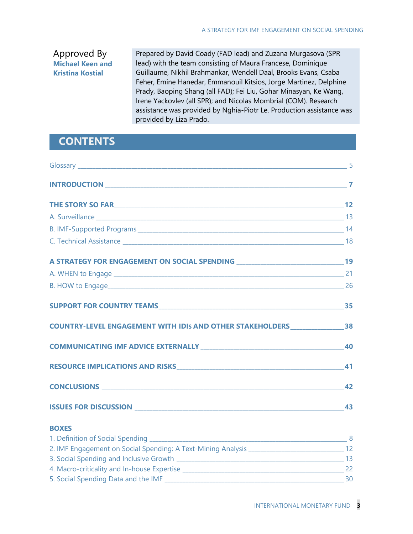## Approved By **Michael Keen and Kristina Kostial**

Prepared by David Coady (FAD lead) and Zuzana Murgasova (SPR lead) with the team consisting of Maura Francese, Dominique Guillaume, Nikhil Brahmankar, Wendell Daal, Brooks Evans, Csaba Feher, Emine Hanedar, Emmanouil Kitsios, Jorge Martinez, Delphine Prady, Baoping Shang (all FAD); Fei Liu, Gohar Minasyan, Ke Wang, Irene Yackovlev (all SPR); and Nicolas Mombrial (COM). Research assistance was provided by Nghia-Piotr Le. Production assistance was provided by Liza Prado.

## **CONTENTS**

| COUNTRY-LEVEL ENGAGEMENT WITH IDIS AND OTHER STAKEHOLDERS ______________________38               |    |
|--------------------------------------------------------------------------------------------------|----|
| COMMUNICATING IMF ADVICE EXTERNALLY 40                                                           |    |
|                                                                                                  | 41 |
|                                                                                                  |    |
|                                                                                                  |    |
| <b>BOXES</b>                                                                                     |    |
|                                                                                                  |    |
| 2. IMF Engagement on Social Spending: A Text-Mining Analysis _________________________________12 |    |
|                                                                                                  |    |
|                                                                                                  |    |
|                                                                                                  |    |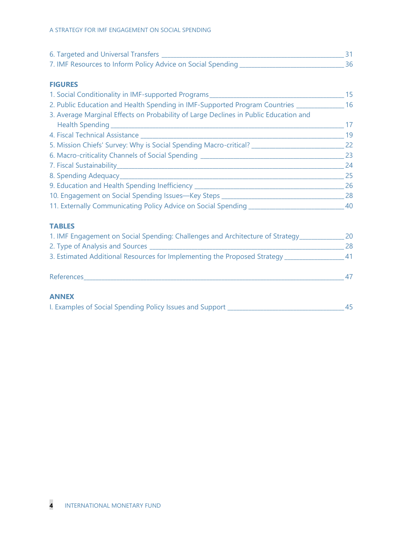| 6. Targeted and Universal Transfers                         |  |
|-------------------------------------------------------------|--|
| 7. IMF Resources to Inform Policy Advice on Social Spending |  |

#### **FIGURES**

| 1. Social Conditionality in IMF-supported Programs                                   | 15 |
|--------------------------------------------------------------------------------------|----|
| 2. Public Education and Health Spending in IMF-Supported Program Countries _______   | 16 |
| 3. Average Marginal Effects on Probability of Large Declines in Public Education and |    |
| Health Spending __________                                                           | 17 |
| 4. Fiscal Technical Assistance _______                                               | 19 |
| 5. Mission Chiefs' Survey: Why is Social Spending Macro-critical? ________           | 22 |
| 6. Macro-criticality Channels of Social Spending _______________________________     | 23 |
|                                                                                      | 24 |
| 8. Spending Adequacy_______                                                          | 25 |
| 9. Education and Health Spending Inefficiency _______                                | 26 |
| 10. Engagement on Social Spending Issues-Key Steps _______                           | 28 |
| 11. Externally Communicating Policy Advice on Social Spending                        | 40 |

### **TABLES**

| 1. IMF Engagement on Social Spending: Challenges and Architecture of Strategy | 20 |
|-------------------------------------------------------------------------------|----|
| 2. Type of Analysis and Sources                                               | 28 |
| 3. Estimated Additional Resources for Implementing the Proposed Strategy      | 41 |
|                                                                               |    |
| References                                                                    | 47 |
| <b>ANNEY</b>                                                                  |    |

#### **ANNEX**

| I. Examples of Social Spending Policy Issues and Support |
|----------------------------------------------------------|
|----------------------------------------------------------|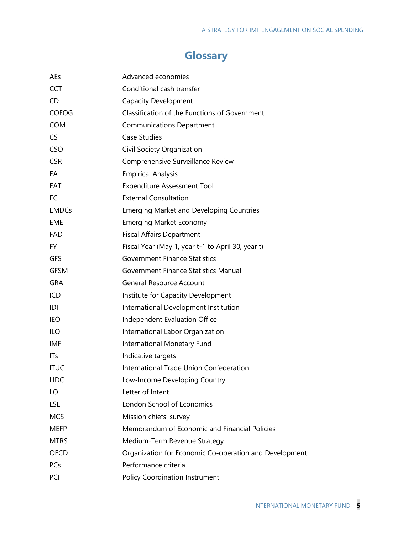## **Glossary**

| AEs          | Advanced economies                                     |
|--------------|--------------------------------------------------------|
| <b>CCT</b>   | Conditional cash transfer                              |
| CD           | <b>Capacity Development</b>                            |
| <b>COFOG</b> | Classification of the Functions of Government          |
| <b>COM</b>   | <b>Communications Department</b>                       |
| <b>CS</b>    | <b>Case Studies</b>                                    |
| <b>CSO</b>   | Civil Society Organization                             |
| <b>CSR</b>   | Comprehensive Surveillance Review                      |
| EA           | <b>Empirical Analysis</b>                              |
| EAT          | <b>Expenditure Assessment Tool</b>                     |
| EC           | <b>External Consultation</b>                           |
| <b>EMDCs</b> | <b>Emerging Market and Developing Countries</b>        |
| <b>EME</b>   | <b>Emerging Market Economy</b>                         |
| FAD          | <b>Fiscal Affairs Department</b>                       |
| FY.          | Fiscal Year (May 1, year t-1 to April 30, year t)      |
| <b>GFS</b>   | <b>Government Finance Statistics</b>                   |
| <b>GFSM</b>  | <b>Government Finance Statistics Manual</b>            |
| <b>GRA</b>   | <b>General Resource Account</b>                        |
| ICD          | Institute for Capacity Development                     |
| D            | International Development Institution                  |
| IEO          | Independent Evaluation Office                          |
| ILO          | International Labor Organization                       |
| IMF          | International Monetary Fund                            |
| ITs          | Indicative targets                                     |
| <b>ITUC</b>  | International Trade Union Confederation                |
| <b>LIDC</b>  | Low-Income Developing Country                          |
| LOI          | Letter of Intent                                       |
| <b>LSE</b>   | London School of Economics                             |
| <b>MCS</b>   | Mission chiefs' survey                                 |
| <b>MEFP</b>  | Memorandum of Economic and Financial Policies          |
| <b>MTRS</b>  | Medium-Term Revenue Strategy                           |
| <b>OECD</b>  | Organization for Economic Co-operation and Development |
| PCs          | Performance criteria                                   |
| PCI          | <b>Policy Coordination Instrument</b>                  |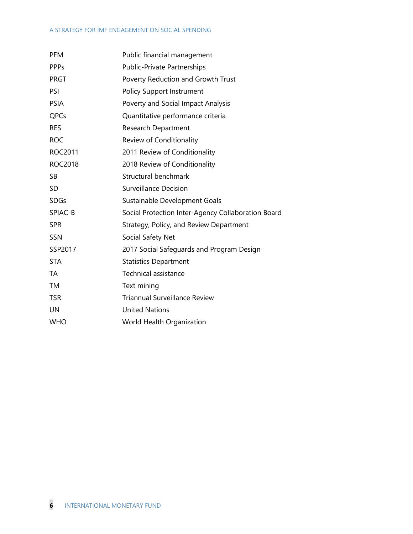#### A STRATEGY FOR IMF ENGAGEMENT ON SOCIAL SPENDING

| <b>PFM</b>     | Public financial management                        |  |  |  |
|----------------|----------------------------------------------------|--|--|--|
| <b>PPPs</b>    | <b>Public-Private Partnerships</b>                 |  |  |  |
| <b>PRGT</b>    | Poverty Reduction and Growth Trust                 |  |  |  |
| PSI            | <b>Policy Support Instrument</b>                   |  |  |  |
| <b>PSIA</b>    | Poverty and Social Impact Analysis                 |  |  |  |
| QPCs           | Quantitative performance criteria                  |  |  |  |
| <b>RES</b>     | <b>Research Department</b>                         |  |  |  |
| <b>ROC</b>     | Review of Conditionality                           |  |  |  |
| ROC2011        | 2011 Review of Conditionality                      |  |  |  |
| <b>ROC2018</b> | 2018 Review of Conditionality                      |  |  |  |
| <b>SB</b>      | Structural benchmark                               |  |  |  |
| <b>SD</b>      | <b>Surveillance Decision</b>                       |  |  |  |
| <b>SDGs</b>    | Sustainable Development Goals                      |  |  |  |
| SPIAC-B        | Social Protection Inter-Agency Collaboration Board |  |  |  |
| <b>SPR</b>     | Strategy, Policy, and Review Department            |  |  |  |
| <b>SSN</b>     | Social Safety Net                                  |  |  |  |
| SSP2017        | 2017 Social Safeguards and Program Design          |  |  |  |
| <b>STA</b>     | <b>Statistics Department</b>                       |  |  |  |
| <b>TA</b>      | Technical assistance                               |  |  |  |
| <b>TM</b>      | Text mining                                        |  |  |  |
| <b>TSR</b>     | <b>Triannual Surveillance Review</b>               |  |  |  |
| <b>UN</b>      | <b>United Nations</b>                              |  |  |  |
| <b>WHO</b>     | World Health Organization                          |  |  |  |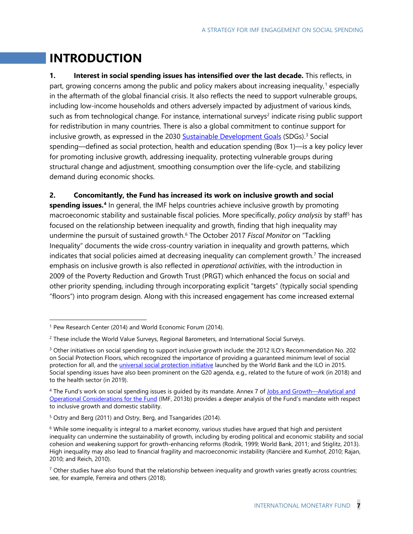## **INTRODUCTION**

**1. Interest in social spending issues has intensified over the last decade.** This reflects, in part, growing concerns among the public and policy makers about increasing inequality, [1](#page-10-0) especially in the aftermath of the global financial crisis. It also reflects the need to support vulnerable groups, including low-income households and others adversely impacted by adjustment of various kinds, such as from technological change. For instance, international surveys<sup>[2](#page-10-1)</sup> indicate rising public support for redistribution in many countries. There is also a global commitment to continue support for inclusive growth, as expressed in the 2030 [Sustainable Development Goals](https://www.un.org/sustainabledevelopment/sustainable-development-goals/) (SDGs).<sup>[3](#page-10-2)</sup> Social spending—defined as social protection, health and education spending (Box 1)—is a key policy lever for promoting inclusive growth, addressing inequality, protecting vulnerable groups during structural change and adjustment, smoothing consumption over the life-cycle, and stabilizing demand during economic shocks.

#### **2. Concomitantly, the Fund has increased its work on inclusive growth and social**

**spending issues.[4](#page-10-3)** In general, the IMF helps countries achieve inclusive growth by promoting macroeconomic stability and sustainable fiscal policies. More specifically, *policy analysis* by staff[5](#page-10-4) has focused on the relationship between inequality and growth, finding that high inequality may undermine the pursuit of sustained growth.<sup>[6](#page-10-5)</sup> The October 2017 *Fiscal Monitor* on "Tackling Inequality" documents the wide cross-country variation in inequality and growth patterns, which indicates that social policies aimed at decreasing inequality can complement growth.<sup>7</sup> The increased emphasis on inclusive growth is also reflected in *operational activities*, with the introduction in 2009 of the Poverty Reduction and Growth Trust (PRGT) which enhanced the focus on social and other priority spending, including through incorporating explicit "targets" (typically social spending "floors") into program design. Along with this increased engagement has come increased external

<span id="page-10-0"></span> <sup>1</sup> Pew Research Center (2014) and World Economic Forum (2014).

<span id="page-10-1"></span><sup>2</sup> These include the World Value Surveys, Regional Barometers, and International Social Surveys.

<span id="page-10-2"></span><sup>3</sup> Other initiatives on social spending to support inclusive growth include: the 2012 ILO's Recommendation No. 202 on Social Protection Floors, which recognized the importance of providing a guaranteed minimum level of social protection for all, and the *universal social protection initiative launched by the World Bank and the ILO in 2015.* Social spending issues have also been prominent on the G20 agenda, e.g., related to the future of work (in 2018) and to the health sector (in 2019).

<span id="page-10-3"></span><sup>4</sup> The Fund's work on social spending issues is guided by its mandate. Annex 7 of [Jobs and Growth—Analytical and](https://www.imf.org/en/Publications/Policy-Papers/Issues/2016/12/31/Jobs-and-Growth-Analytical-and-Operational-Considerations-for-the-Fund-PP4750)  [Operational Considerations for the Fund](https://www.imf.org/en/Publications/Policy-Papers/Issues/2016/12/31/Jobs-and-Growth-Analytical-and-Operational-Considerations-for-the-Fund-PP4750) (IMF, 2013b) provides a deeper analysis of the Fund's mandate with respect to inclusive growth and domestic stability.

<span id="page-10-4"></span><sup>5</sup> Ostry and Berg (2011) and Ostry, Berg, and Tsangarides (2014).

<span id="page-10-5"></span> $6$  While some inequality is integral to a market economy, various studies have argued that high and persistent inequality can undermine the sustainability of growth, including by eroding political and economic stability and social cohesion and weakening support for growth-enhancing reforms (Rodrik, 1999; World Bank, 2011; and Stiglitz, 2013). High inequality may also lead to financial fragility and macroeconomic instability (Rancière and Kumhof, 2010; Rajan, 2010; and Reich, 2010).

<span id="page-10-6"></span> $7$  Other studies have also found that the relationship between inequality and growth varies greatly across countries; see, for example, Ferreira and others (2018).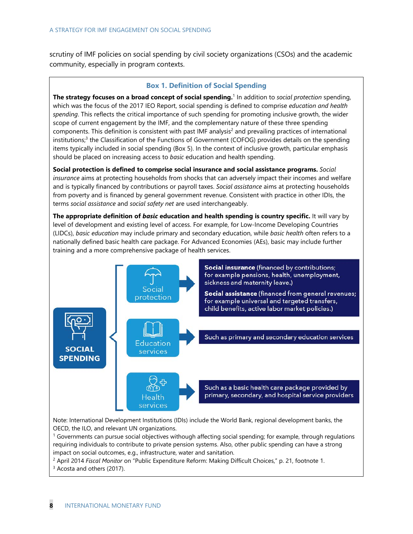scrutiny of IMF policies on social spending by civil society organizations (CSOs) and the academic community, especially in program contexts.

#### **Box 1. Definition of Social Spending**

**The strategy focuses on a broad concept of social spending.** <sup>1</sup> In addition to *social protection* spending, which was the focus of the 2017 IEO Report, social spending is defined to comprise *education and health spending*. This reflects the critical importance of such spending for promoting inclusive growth, the wider scope of current engagement by the IMF, and the complementary nature of these three spending components. This definition is consistent with past  $IMF$  analysis<sup>2</sup> and prevailing practices of international institutions;<sup>3</sup> the Classification of the Functions of Government (COFOG) provides details on the spending items typically included in social spending (Box 5). In the context of inclusive growth, particular emphasis should be placed on increasing access to *basic* education and health spending.

**Social protection is defined to comprise social insurance and social assistance programs.** *Social insurance* aims at protecting households from shocks that can adversely impact their incomes and welfare and is typically financed by contributions or payroll taxes. *Social assistance* aims at protecting households from poverty and is financed by general government revenue. Consistent with practice in other IDIs, the terms *social assistance* and *social safety net* are used interchangeably.

**The appropriate definition of** *basic* **education and health spending is country specific.** It will vary by level of development and existing level of access. For example, for Low-Income Developing Countries (LIDCs), *basic education* may include primary and secondary education, while *basic health* often refers to a nationally defined basic health care package. For Advanced Economies (AEs), basic may include further training and a more comprehensive package of health services.



impact on social outcomes, e.g., infrastructure, water and sanitation.

<sup>2</sup> April 2014 *Fiscal Monitor* on "Public Expenditure Reform: Making Difficult Choices," p. 21, footnote 1.<br><sup>3</sup> Acosta and others (2017).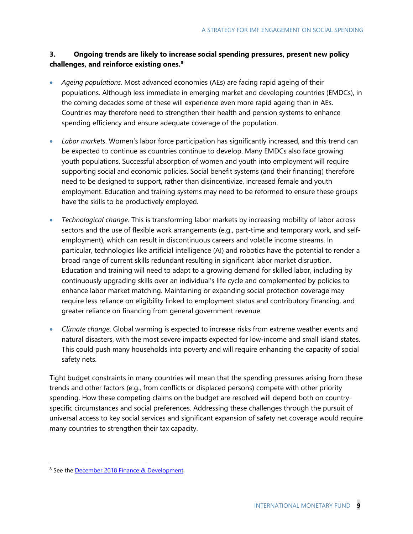### **3. Ongoing trends are likely to increase social spending pressures, present new policy challenges, and reinforce existing ones. [8](#page-12-0)**

- *Ageing populations*. Most advanced economies (AEs) are facing rapid ageing of their populations. Although less immediate in emerging market and developing countries (EMDCs), in the coming decades some of these will experience even more rapid ageing than in AEs. Countries may therefore need to strengthen their health and pension systems to enhance spending efficiency and ensure adequate coverage of the population.
- *Labor markets*. Women's labor force participation has significantly increased, and this trend can be expected to continue as countries continue to develop. Many EMDCs also face growing youth populations. Successful absorption of women and youth into employment will require supporting social and economic policies. Social benefit systems (and their financing) therefore need to be designed to support, rather than disincentivize, increased female and youth employment. Education and training systems may need to be reformed to ensure these groups have the skills to be productively employed.
- *Technological change*. This is transforming labor markets by increasing mobility of labor across sectors and the use of flexible work arrangements (e.g., part-time and temporary work, and selfemployment), which can result in discontinuous careers and volatile income streams. In particular, technologies like artificial intelligence (AI) and robotics have the potential to render a broad range of current skills redundant resulting in significant labor market disruption. Education and training will need to adapt to a growing demand for skilled labor, including by continuously upgrading skills over an individual's life cycle and complemented by policies to enhance labor market matching. Maintaining or expanding social protection coverage may require less reliance on eligibility linked to employment status and contributory financing, and greater reliance on financing from general government revenue.
- *Climate change*. Global warming is expected to increase risks from extreme weather events and natural disasters, with the most severe impacts expected for low-income and small island states. This could push many households into poverty and will require enhancing the capacity of social safety nets.

Tight budget constraints in many countries will mean that the spending pressures arising from these trends and other factors (e.g., from conflicts or displaced persons) compete with other priority spending. How these competing claims on the budget are resolved will depend both on countryspecific circumstances and social preferences. Addressing these challenges through the pursuit of universal access to key social services and significant expansion of safety net coverage would require many countries to strengthen their tax capacity.

<span id="page-12-0"></span><sup>&</sup>lt;sup>8</sup> See the **December 2018 Finance & Development**.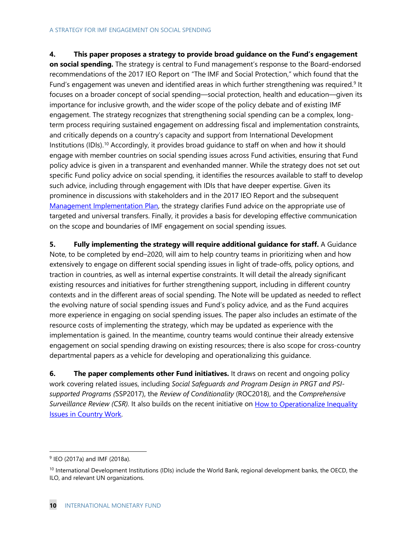### **4. This paper proposes a strategy to provide broad guidance on the Fund's engagement**

**on social spending.** The strategy is central to Fund management's response to the Board-endorsed recommendations of the 2017 IEO Report on "The IMF and Social Protection," which found that the Fund's engagement was uneven and identified areas in which further strengthening was required.<sup>[9](#page-13-0)</sup> It focuses on a broader concept of social spending—social protection, health and education—given its importance for inclusive growth, and the wider scope of the policy debate and of existing IMF engagement. The strategy recognizes that strengthening social spending can be a complex, longterm process requiring sustained engagement on addressing fiscal and implementation constraints, and critically depends on a country's capacity and support from International Development Institutions (IDIs). [10](#page-13-1) Accordingly, it provides broad guidance to staff on when and how it should engage with member countries on social spending issues across Fund activities, ensuring that Fund policy advice is given in a transparent and evenhanded manner. While the strategy does not set out specific Fund policy advice on social spending, it identifies the resources available to staff to develop such advice, including through engagement with IDIs that have deeper expertise. Given its prominence in discussions with stakeholders and in the 2017 IEO Report and the subsequent [Management Implementation Plan,](https://www.imf.org/en/Publications/Policy-Papers/Issues/2018/02/02/pp011718-imp-in-response-to-ieo-report-on-imf-and-social-protection) the strategy clarifies Fund advice on the appropriate use of targeted and universal transfers. Finally, it provides a basis for developing effective communication on the scope and boundaries of IMF engagement on social spending issues.

**5. Fully implementing the strategy will require additional guidance for staff.** A Guidance Note, to be completed by end–2020, will aim to help country teams in prioritizing when and how extensively to engage on different social spending issues in light of trade-offs, policy options, and traction in countries, as well as internal expertise constraints. It will detail the already significant existing resources and initiatives for further strengthening support, including in different country contexts and in the different areas of social spending. The Note will be updated as needed to reflect the evolving nature of social spending issues and Fund's policy advice, and as the Fund acquires more experience in engaging on social spending issues. The paper also includes an estimate of the resource costs of implementing the strategy, which may be updated as experience with the implementation is gained. In the meantime, country teams would continue their already extensive engagement on social spending drawing on existing resources; there is also scope for cross-country departmental papers as a vehicle for developing and operationalizing this guidance.

**6. The paper complements other Fund initiatives.** It draws on recent and ongoing policy work covering related issues, including *Social Safeguards and Program Design in PRGT and PSIsupported Programs (*SSP2017), the *Review of Conditionality* (ROC2018), and the *Comprehensive*  Surveillance Review (CSR). It also builds on the recent initiative on How to Operationalize Inequality [Issues in Country Work.](https://www.imf.org/en/Publications/Policy-Papers/Issues/2018/06/13/pp060118howto-note-on-inequality)

<span id="page-13-0"></span> <sup>9</sup> IEO (2017a) and IMF (2018a).

<span id="page-13-1"></span> $10$  International Development Institutions (IDIs) include the World Bank, regional development banks, the OECD, the ILO, and relevant UN organizations.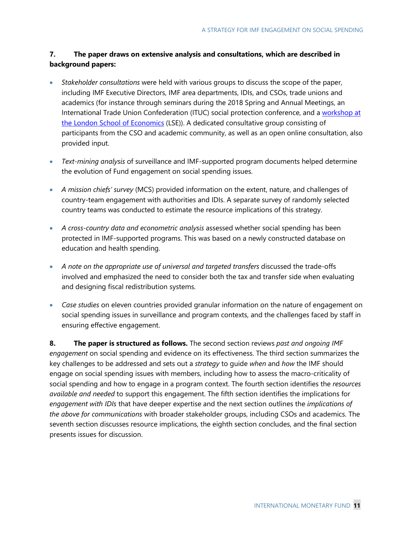### **7. The paper draws on extensive analysis and consultations, which are described in background papers:**

- *Stakeholder consultations* were held with various groups to discuss the scope of the paper, including IMF Executive Directors, IMF area departments, IDIs, and CSOs, trade unions and academics (for instance through seminars during the 2018 Spring and Annual Meetings, an International Trade Union Confederation (ITUC) social protection conference, and a workshop at [the London School of Economics](http://sticerd.lse.ac.uk/case/_new/events/social-protection-workshop/) (LSE)). A dedicated consultative group consisting of participants from the CSO and academic community, as well as an open online consultation, also provided input.
- *Text-mining analysis* of surveillance and IMF-supported program documents helped determine the evolution of Fund engagement on social spending issues.
- *A mission chiefs' survey* (MCS) provided information on the extent, nature, and challenges of country-team engagement with authorities and IDIs. A separate survey of randomly selected country teams was conducted to estimate the resource implications of this strategy.
- *A cross-country data and econometric analysis* assessed whether social spending has been protected in IMF-supported programs. This was based on a newly constructed database on education and health spending.
- *A note on the appropriate use of universal and targeted transfers* discussed the trade-offs involved and emphasized the need to consider both the tax and transfer side when evaluating and designing fiscal redistribution systems.
- *Case studies* on eleven countries provided granular information on the nature of engagement on social spending issues in surveillance and program contexts, and the challenges faced by staff in ensuring effective engagement.

**8. The paper is structured as follows.** The second section reviews *past and ongoing IMF engagement* on social spending and evidence on its effectiveness. The third section summarizes the key challenges to be addressed and sets out a *strategy* to guide *when* and *how* the IMF should engage on social spending issues with members, including how to assess the macro-criticality of social spending and how to engage in a program context. The fourth section identifies the *resources available and needed* to support this engagement. The fifth section identifies the implications for *engagement with IDIs* that have deeper expertise and the next section outlines the *implications of the above for communications* with broader stakeholder groups, including CSOs and academics. The seventh section discusses resource implications, the eighth section concludes, and the final section presents issues for discussion.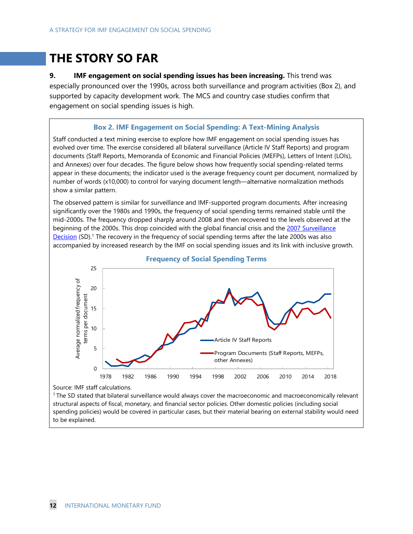## **THE STORY SO FAR**

**9. IMF engagement on social spending issues has been increasing.** This trend was especially pronounced over the 1990s, across both surveillance and program activities (Box 2), and supported by capacity development work. The MCS and country case studies confirm that engagement on social spending issues is high.

#### **Box 2. IMF Engagement on Social Spending: A Text-Mining Analysis**

Staff conducted a text mining exercise to explore how IMF engagement on social spending issues has evolved over time. The exercise considered all bilateral surveillance (Article IV Staff Reports) and program documents (Staff Reports, Memoranda of Economic and Financial Policies (MEFPs), Letters of Intent (LOIs), and Annexes) over four decades. The figure below shows how frequently social spending-related terms appear in these documents; the indicator used is the average frequency count per document, normalized by number of words (x10,000) to control for varying document length—alternative normalization methods show a similar pattern.

The observed pattern is similar for surveillance and IMF-supported program documents. After increasing significantly over the 1980s and 1990s, the frequency of social spending terms remained stable until the mid-2000s. The frequency dropped sharply around 2008 and then recovered to the levels observed at the beginning of the 2000s. This drop coincided with the global financial crisis and the 2007 Surveillance [Decision](https://www.imf.org/external/np/pp/2007/eng/062107.htm) (SD).<sup>1</sup> The recovery in the frequency of social spending terms after the late 2000s was also accompanied by increased research by the IMF on social spending issues and its link with inclusive growth.



#### **Frequency of Social Spending Terms**

Source: IMF staff calculations.

1 The SD stated that bilateral surveillance would always cover the macroeconomic and macroeconomically relevant structural aspects of fiscal, monetary, and financial sector policies. Other domestic policies (including social spending policies) would be covered in particular cases, but their material bearing on external stability would need to be explained.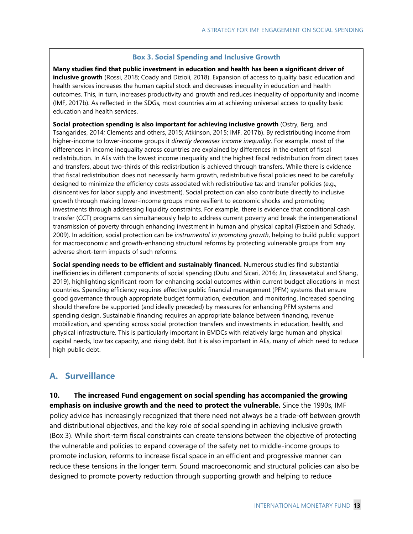#### **Box 3. Social Spending and Inclusive Growth**

**Many studies find that public investment in education and health has been a significant driver of inclusive growth** (Rossi, 2018; Coady and Dizioli, 2018). Expansion of access to quality basic education and health services increases the human capital stock and decreases inequality in education and health outcomes. This, in turn, increases productivity and growth and reduces inequality of opportunity and income (IMF, 2017b). As reflected in the SDGs, most countries aim at achieving universal access to quality basic education and health services.

**Social protection spending is also important for achieving inclusive growth** [\(Ostry, Berg, and](https://www.imf.org/external/pubs/ft/sdn/2014/sdn1402.pdf)  [Tsangarides, 2014;](https://www.imf.org/external/pubs/ft/sdn/2014/sdn1402.pdf) Clements and others, 2015; Atkinson, 2015; IMF, 2017b). By redistributing income from higher-income to lower-income groups it *directly decreases income inequality*. For example, most of the differences in income inequality across countries are explained by differences in the extent of fiscal redistribution. In AEs with the lowest income inequality and the highest fiscal redistribution from direct taxes and transfers, about two-thirds of this redistribution is achieved through transfers. While there is evidence that fiscal redistribution does not necessarily harm growth, redistributive fiscal policies need to be carefully designed to minimize the efficiency costs associated with redistributive tax and transfer policies (e.g., disincentives for labor supply and investment). Social protection can also contribute directly to inclusive growth through making lower-income groups more resilient to economic shocks and promoting investments through addressing liquidity constraints. For example, there is evidence that conditional cash transfer (CCT) programs can simultaneously help to address current poverty and break the intergenerational transmission of poverty through enhancing investment in human and physical capital (Fiszbein and Schady, 2009). In addition, social protection can be *instrumental in promoting growth*, helping to build public support for macroeconomic and growth-enhancing structural reforms by protecting vulnerable groups from any adverse short-term impacts of such reforms.

**Social spending needs to be efficient and sustainably financed.** Numerous studies find substantial inefficiencies in different components of social spending (Dutu and Sicari, 2016; Jin, Jirasavetakul and Shang, 2019), highlighting significant room for enhancing social outcomes within current budget allocations in most countries. Spending efficiency requires effective public financial management (PFM) systems that ensure good governance through appropriate budget formulation, execution, and monitoring. Increased spending should therefore be supported (and ideally preceded) by measures for enhancing PFM systems and spending design. Sustainable financing requires an appropriate balance between financing, revenue mobilization, and spending across social protection transfers and investments in education, health, and physical infrastructure. This is particularly important in EMDCs with relatively large human and physical capital needs, low tax capacity, and rising debt. But it is also important in AEs, many of which need to reduce high public debt.

## **A. Surveillance**

**10. The increased Fund engagement on social spending has accompanied the growing emphasis on inclusive growth and the need to protect the vulnerable.** Since the 1990s, IMF policy advice has increasingly recognized that there need not always be a trade-off between growth and distributional objectives, and the key role of social spending in achieving inclusive growth (Box 3). While short-term fiscal constraints can create tensions between the objective of protecting the vulnerable and policies to expand coverage of the safety net to middle-income groups to promote inclusion, reforms to increase fiscal space in an efficient and progressive manner can reduce these tensions in the longer term. Sound macroeconomic and structural policies can also be designed to promote poverty reduction through supporting growth and helping to reduce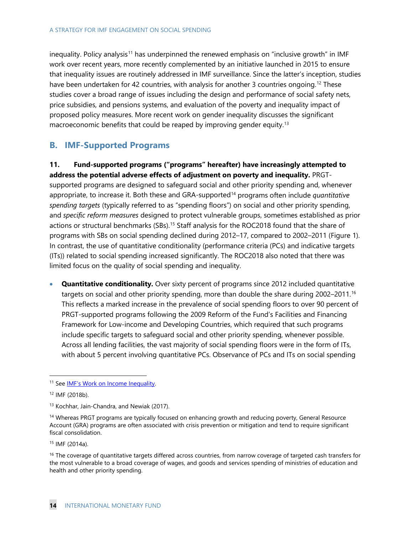inequality. Policy analysis<sup>[11](#page-17-0)</sup> has underpinned the renewed emphasis on "inclusive growth" in IMF work over recent years, more recently complemented by an initiative launched in 2015 to ensure that inequality issues are routinely addressed in IMF surveillance. Since the latter's inception, studies have been undertaken for 42 countries, with analysis for another 3 countries ongoing.<sup>[12](#page-17-1)</sup> These studies cover a broad range of issues including the design and performance of social safety nets, price subsidies, and pensions systems, and evaluation of the poverty and inequality impact of proposed policy measures. More recent work on gender inequality discusses the significant macroeconomic benefits that could be reaped by improving gender equity.<sup>13</sup>

## **B. IMF-Supported Programs**

**11. Fund-supported programs ("programs" hereafter) have increasingly attempted to address the potential adverse effects of adjustment on poverty and inequality.** PRGTsupported programs are designed to safeguard social and other priority spending and, whenever appropriate, to increase it. Both these and GRA-supported[14](#page-17-3) programs often include *quantitative spending targets* (typically referred to as "spending floors") on social and other priority spending, and *specific reform measures* designed to protect vulnerable groups, sometimes established as prior actions or structural benchmarks (SBs).<sup>[15](#page-17-4)</sup> Staff analysis for the ROC2018 found that the share of programs with SBs on social spending declined during 2012–17, compared to 2002–2011 (Figure 1). In contrast, the use of quantitative conditionality (performance criteria (PCs) and indicative targets (ITs)) related to social spending increased significantly. The ROC2018 also noted that there was limited focus on the quality of social spending and inequality.

• **Quantitative conditionality.** Over sixty percent of programs since 2012 included quantitative targets on social and other priority spending, more than double the share during 2002–2011. [16](#page-17-5) This reflects a marked increase in the prevalence of social spending floors to over 90 percent of PRGT-supported programs following the 2009 Reform of the Fund's Facilities and Financing Framework for Low-income and Developing Countries, which required that such programs include specific targets to safeguard social and other priority spending, whenever possible. Across all lending facilities, the vast majority of social spending floors were in the form of ITs, with about 5 percent involving quantitative PCs. Observance of PCs and ITs on social spending

<span id="page-17-0"></span><sup>&</sup>lt;sup>11</sup> See [IMF's Work on Income Inequality.](https://www.imf.org/external/np/fad/inequality/)

<span id="page-17-1"></span><sup>12</sup> IMF (2018b).

<span id="page-17-2"></span><sup>&</sup>lt;sup>13</sup> Kochhar, [Jain-Chandra,](https://www.imf.org/en/Publications/Publications-By-Author?author=Sonali++Jain-Chandra&name=Sonali%20%20Jain-Chandra) and [Newiak](https://www.imf.org/en/Publications/Publications-By-Author?author=Monique++Newiak&name=Monique%20%20Newiak) (2017).

<span id="page-17-3"></span><sup>&</sup>lt;sup>14</sup> Whereas PRGT programs are typically focused on enhancing growth and reducing poverty, General Resource Account (GRA) programs are often associated with crisis prevention or mitigation and tend to require significant fiscal consolidation.

<span id="page-17-4"></span><sup>15</sup> IMF (2014a).

<span id="page-17-5"></span><sup>&</sup>lt;sup>16</sup> The coverage of quantitative targets differed across countries, from narrow coverage of targeted cash transfers for the most vulnerable to a broad coverage of wages, and goods and services spending of ministries of education and health and other priority spending.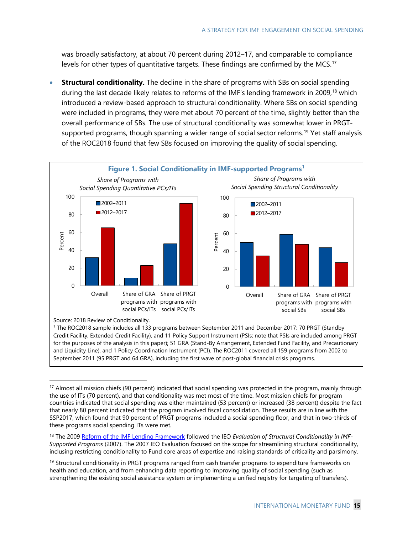was broadly satisfactory, at about 70 percent during 2012–17, and comparable to compliance levels for other types of quantitative targets. These findings are confirmed by the MCS. [17](#page-18-0)

**Structural conditionality.** The decline in the share of programs with SBs on social spending during the last decade likely relates to reforms of the IMF's lending framework in 2009,<sup>[18](#page-18-1)</sup> which introduced a review-based approach to structural conditionality. Where SBs on social spending were included in programs, they were met about 70 percent of the time, slightly better than the overall performance of SBs. The use of structural conditionality was somewhat lower in PRGTsupported programs, though spanning a wider range of social sector reforms. [19](#page-18-2) Yet staff analysis of the ROC2018 found that few SBs focused on improving the quality of social spending.



Source: 2018 Review of Conditionality.

<sup>1</sup> The ROC2018 sample includes all 133 programs between September 2011 and December 2017: 70 PRGT (Standby Credit Facility, Extended Credit Facility), and 11 Policy Support Instrument (PSIs; note that PSIs are included among PRGT for the purposes of the analysis in this paper); 51 GRA (Stand-By Arrangement, Extended Fund Facility, and Precautionary and Liquidity Line), and 1 Policy Coordination Instrument (PCI). The ROC2011 covered all 159 programs from 2002 to September 2011 (95 PRGT and 64 GRA), including the first wave of post-global financial crisis programs.

<span id="page-18-0"></span> $17$  Almost all mission chiefs (90 percent) indicated that social spending was protected in the program, mainly through the use of ITs (70 percent), and that conditionality was met most of the time. Most mission chiefs for program countries indicated that social spending was either maintained (53 percent) or increased (38 percent) despite the fact that nearly 80 percent indicated that the program involved fiscal consolidation. These results are in line with the SSP2017, which found that 90 percent of PRGT programs included a social spending floor, and that in two-thirds of these programs social spending ITs were met.

<span id="page-18-1"></span><sup>&</sup>lt;sup>18</sup> The 2009 [Reform of the IMF Lending Framework](https://www.imf.org/en/News/Articles/2015/09/14/01/49/pr0985) followed the IEO Evaluation of Structural Conditionality in IMF-*Supported Programs* (2007). The 2007 IEO Evaluation focused on the scope for streamlining structural conditionality, inclusing restricting conditionality to Fund core areas of expertise and raising standards of criticality and parsimony.

<span id="page-18-2"></span><sup>&</sup>lt;sup>19</sup> Structural conditionality in PRGT programs ranged from cash transfer programs to expenditure frameworks on health and education, and from enhancing data reporting to improving quality of social spending (such as strengthening the existing social assistance system or implementing a unified registry for targeting of transfers).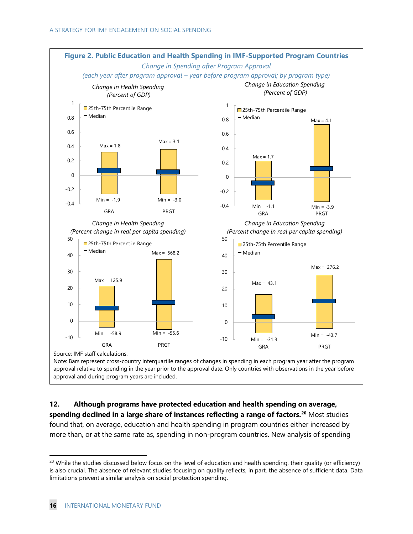

**12. Although programs have protected education and health spending on average, spending declined in a large share of instances reflecting a range of factors. [20](#page-19-0)** Most studies found that, on average, education and health spending in program countries either increased by more than, or at the same rate as, spending in non-program countries. New analysis of spending

<span id="page-19-0"></span> $20$  While the studies discussed below focus on the level of education and health spending, their quality (or efficiency) is also crucial. The absence of relevant studies focusing on quality reflects, in part, the absence of sufficient data. Data limitations prevent a similar analysis on social protection spending.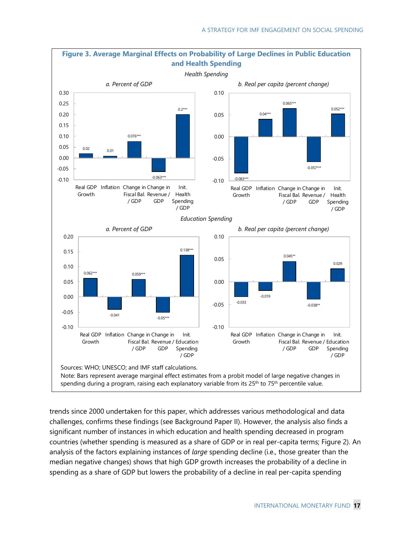

trends since 2000 undertaken for this paper, which addresses various methodological and data challenges, confirms these findings (see Background Paper II). However, the analysis also finds a significant number of instances in which education and health spending decreased in program countries (whether spending is measured as a share of GDP or in real per-capita terms; Figure 2). An analysis of the factors explaining instances of *large* spending decline (i.e., those greater than the median negative changes) shows that high GDP growth increases the probability of a decline in spending as a share of GDP but lowers the probability of a decline in real per-capita spending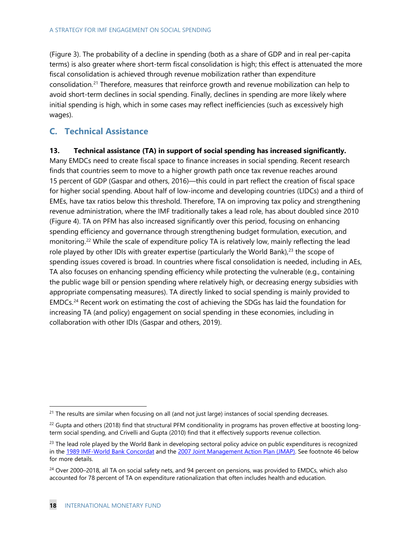(Figure 3). The probability of a decline in spending (both as a share of GDP and in real per-capita terms) is also greater where short-term fiscal consolidation is high; this effect is attenuated the more fiscal consolidation is achieved through revenue mobilization rather than expenditure consolidation.<sup>[21](#page-21-0)</sup> Therefore, measures that reinforce growth and revenue mobilization can help to avoid short-term declines in social spending. Finally, declines in spending are more likely where initial spending is high, which in some cases may reflect inefficiencies (such as excessively high wages).

## **C. Technical Assistance**

#### **13. Technical assistance (TA) in support of social spending has increased significantly.**

Many EMDCs need to create fiscal space to finance increases in social spending. Recent research finds that countries seem to move to a higher growth path once tax revenue reaches around 15 percent of GDP (Gaspar and others, 2016)—this could in part reflect the creation of fiscal space for higher social spending. About half of low-income and developing countries (LIDCs) and a third of EMEs, have tax ratios below this threshold. Therefore, TA on improving tax policy and strengthening revenue administration, where the IMF traditionally takes a lead role, has about doubled since 2010 (Figure 4). TA on PFM has also increased significantly over this period, focusing on enhancing spending efficiency and governance through strengthening budget formulation, execution, and monitoring.<sup>[22](#page-21-1)</sup> While the scale of expenditure policy TA is relatively low, mainly reflecting the lead role played by other IDIs with greater expertise (particularly the World Bank), [23](#page-21-2) the scope of spending issues covered is broad. In countries where fiscal consolidation is needed, including in AEs, TA also focuses on enhancing spending efficiency while protecting the vulnerable (e.g., containing the public wage bill or pension spending where relatively high, or decreasing energy subsidies with appropriate compensating measures). TA directly linked to social spending is mainly provided to EMDCs. [24](#page-21-3) Recent work on estimating the cost of achieving the SDGs has laid the foundation for increasing TA (and policy) engagement on social spending in these economies, including in collaboration with other IDIs (Gaspar and others, 2019).

<span id="page-21-0"></span><sup>&</sup>lt;sup>21</sup> The results are similar when focusing on all (and not just large) instances of social spending decreases.

<span id="page-21-1"></span> $22$  Gupta and others (2018) find that structural PFM conditionality in programs has proven effective at boosting longterm social spending, and Crivelli and Gupta (2010) find that it effectively supports revenue collection.

<span id="page-21-2"></span><sup>&</sup>lt;sup>23</sup> The lead role played by the World Bank in developing sectoral policy advice on public expenditures is recognized in the [1989 IMF-World Bank Concordat](https://www.imf.org/external/SelectedDecisions/Description.aspx?decision=SM/89/54) and the [2007 Joint Management Action Plan \(JMAP\).](http://www.imf.org/external/np/pp/2007/eng/092007.pdf) See footnote 46 below for more details.

<span id="page-21-3"></span><sup>&</sup>lt;sup>24</sup> Over 2000–2018, all TA on social safety nets, and 94 percent on pensions, was provided to EMDCs, which also accounted for 78 percent of TA on expenditure rationalization that often includes health and education.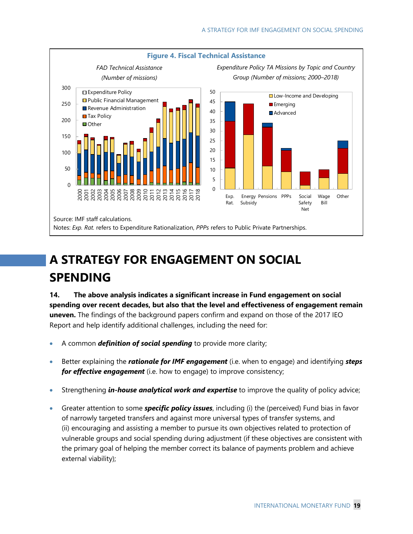

# **A STRATEGY FOR ENGAGEMENT ON SOCIAL SPENDING**

**14. The above analysis indicates a significant increase in Fund engagement on social spending over recent decades, but also that the level and effectiveness of engagement remain uneven.** The findings of the background papers confirm and expand on those of the 2017 IEO Report and help identify additional challenges, including the need for:

- A common *definition of social spending* to provide more clarity;
- Better explaining the *rationale for IMF engagement* (i.e. when to engage) and identifying *steps for effective engagement* (i.e. how to engage) to improve consistency;
- Strengthening *in-house analytical work and expertise* to improve the quality of policy advice;
- Greater attention to some *specific policy issues*, including (i) the (perceived) Fund bias in favor of narrowly targeted transfers and against more universal types of transfer systems, and (ii) encouraging and assisting a member to pursue its own objectives related to protection of vulnerable groups and social spending during adjustment (if these objectives are consistent with the primary goal of helping the member correct its balance of payments problem and achieve external viability);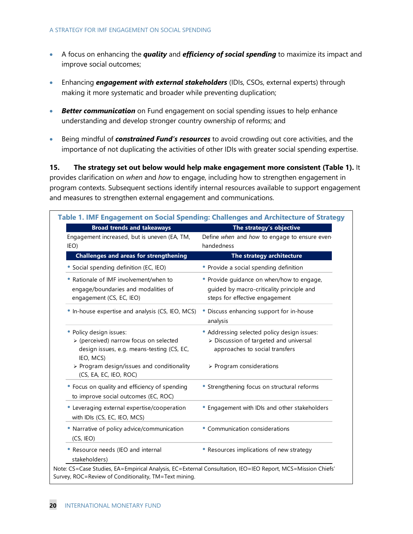- A focus on enhancing the *quality* and *efficiency of social spending* to maximize its impact and improve social outcomes;
- Enhancing *engagement with external stakeholders* (IDIs, CSOs, external experts) through making it more systematic and broader while preventing duplication;
- *Better communication* on Fund engagement on social spending issues to help enhance understanding and develop stronger country ownership of reforms; and
- Being mindful of *constrained Fund's resources* to avoid crowding out core activities, and the importance of not duplicating the activities of other IDIs with greater social spending expertise.

**15. The strategy set out below would help make engagement more consistent (Table 1).** It provides clarification on *when* and *how* to engage, including how to strengthen engagement in program contexts. Subsequent sections identify internal resources available to support engagement and measures to strengthen external engagement and communications.

| <b>Broad trends and takeaways</b>                                                                                            | The strategy's objective                                                                                                 |  |
|------------------------------------------------------------------------------------------------------------------------------|--------------------------------------------------------------------------------------------------------------------------|--|
| Engagement increased, but is uneven (EA, TM,<br>IEO)                                                                         | Define when and how to engage to ensure even-<br>handedness                                                              |  |
| <b>Challenges and areas for strengthening</b>                                                                                | The strategy architecture                                                                                                |  |
| Social spending definition (EC, IEO)                                                                                         | • Provide a social spending definition                                                                                   |  |
| • Rationale of IMF involvement/when to<br>engage/boundaries and modalities of<br>engagement (CS, EC, IEO)                    | • Provide guidance on when/how to engage,<br>guided by macro-criticality principle and<br>steps for effective engagement |  |
| In-house expertise and analysis (CS, IEO, MCS)                                                                               | • Discuss enhancing support for in-house<br>analysis                                                                     |  |
| • Policy design issues:<br>> (perceived) narrow focus on selected<br>design issues, e.g. means-testing (CS, EC,<br>IEO, MCS) | • Addressing selected policy design issues:<br>> Discussion of targeted and universal<br>approaches to social transfers  |  |
| > Program design/issues and conditionality<br>(CS, EA, EC, IEO, ROC)                                                         | > Program considerations                                                                                                 |  |
| • Focus on quality and efficiency of spending<br>to improve social outcomes (EC, ROC)                                        | • Strengthening focus on structural reforms                                                                              |  |
| Leveraging external expertise/cooperation<br>with IDIs (CS, EC, IEO, MCS)                                                    | • Engagement with IDIs and other stakeholders                                                                            |  |
| • Narrative of policy advice/communication<br>(CS, IEO)                                                                      | • Communication considerations                                                                                           |  |
| • Resource needs (IEO and internal<br>stakeholders)                                                                          | • Resources implications of new strategy                                                                                 |  |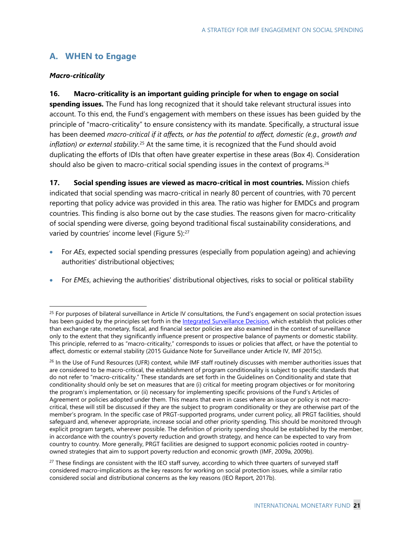## **A. WHEN to Engage**

#### *Macro-criticality*

#### **16. Macro-criticality is an important guiding principle for when to engage on social**

**spending issues.** The Fund has long recognized that it should take relevant structural issues into account. To this end, the Fund's engagement with members on these issues has been guided by the principle of "macro-criticality" to ensure consistency with its mandate. Specifically, a structural issue has been deemed *macro-critical if it affects, or has the potential to affect, domestic (e.g., growth and inflation) or external stability*. [25](#page-24-0) At the same time, it is recognized that the Fund should avoid duplicating the efforts of IDIs that often have greater expertise in these areas (Box 4). Consideration should also be given to macro-critical social spending issues in the context of programs. $^{26}$  $^{26}$  $^{26}$ 

**17. Social spending issues are viewed as macro-critical in most countries.** Mission chiefs indicated that social spending was macro-critical in nearly 80 percent of countries, with 70 percent reporting that policy advice was provided in this area. The ratio was higher for EMDCs and program countries. This finding is also borne out by the case studies. The reasons given for macro-criticality of social spending were diverse, going beyond traditional fiscal sustainability considerations, and varied by countries' income level (Figure 5):<sup>[27](#page-24-2)</sup>

- For *AEs*, expected social spending pressures (especially from population ageing) and achieving authorities' distributional objectives;
- For *EMEs*, achieving the authorities' distributional objectives, risks to social or political stability

<span id="page-24-0"></span> $25$  For purposes of bilateral surveillance in Article IV consultations, the Fund's engagement on social protection issues has been guided by the principles set forth in the [Integrated Surveillance Decision,](https://www.imf.org/external/np/exr/facts/isd.htm) which establish that policies other than exchange rate, monetary, fiscal, and financial sector policies are also examined in the context of surveillance only to the extent that they significantly influence present or prospective balance of payments or domestic stability. This principle, referred to as "macro-criticality," corresponds to issues or policies that affect, or have the potential to affect, domestic or external stability (2015 Guidance Note for Surveillance under Article IV, IMF 2015c).

<span id="page-24-1"></span><sup>&</sup>lt;sup>26</sup> In the Use of Fund Resources (UFR) context, while IMF staff routinely discusses with member authorities issues that are considered to be macro-critical, the establishment of program conditionality is subject to specific standards that do not refer to "macro-criticality." These standards are set forth in the Guidelines on Conditionality and state that conditionality should only be set on measures that are (i) critical for meeting program objectives or for monitoring the program's implementation, or (ii) necessary for implementing specific provisions of the Fund's Articles of Agreement or policies adopted under them. This means that even in cases where an issue or policy is not macrocritical, these will still be discussed if they are the subject to program conditionality or they are otherwise part of the member's program. In the specific case of PRGT-supported programs, under current policy, all PRGT facilities, should safeguard and, whenever appropriate, increase social and other priority spending. This should be monitored through explicit program targets, wherever possible. The definition of priority spending should be established by the member, in accordance with the country's poverty reduction and growth strategy, and hence can be expected to vary from country to country. More generally, PRGT facilities are designed to support economic policies rooted in countryowned strategies that aim to support poverty reduction and economic growth (IMF, 2009a, 2009b).

<span id="page-24-2"></span><sup>&</sup>lt;sup>27</sup> These findings are consistent with the IEO staff survey, according to which three quarters of surveyed staff considered macro-implications as the key reasons for working on social protection issues, while a similar ratio considered social and distributional concerns as the key reasons (IEO Report, 2017b).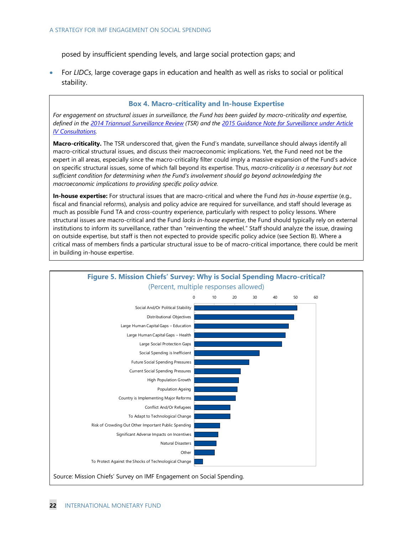posed by insufficient spending levels, and large social protection gaps; and

• For *LIDCs*, large coverage gaps in education and health as well as risks to social or political stability.

#### **Box 4. Macro-criticality and In-house Expertise**

For engagement on structural issues in surveillance, the Fund has been guided by macro-criticality and expertise, *defined in the [2014 Triannual Surveillance Review](https://www.imf.org/external/np/spr/triennial/2014/index.htm) (TSR) and the [2015 Guidance Note for Surveillance under Article](https://www.imf.org/external/np/pp/eng/2015/031915.pdf)  [IV Consultations.](https://www.imf.org/external/np/pp/eng/2015/031915.pdf)* 

**Macro-criticality.** The TSR underscored that, given the Fund's mandate, surveillance should always identify all macro-critical structural issues, and discuss their macroeconomic implications. Yet, the Fund need not be the expert in all areas, especially since the macro-criticality filter could imply a massive expansion of the Fund's advice on specific structural issues, some of which fall beyond its expertise. Thus, *macro-criticality is a necessary but not sufficient condition for determining when the Fund's involvement should go beyond acknowledging the macroeconomic implications to providing specific policy advice.*

**In-house expertise:** For structural issues that are macro-critical and where the Fund *has in-house expertise* (e.g., fiscal and financial reforms), analysis and policy advice are required for surveillance, and staff should leverage as much as possible Fund TA and cross-country experience, particularly with respect to policy lessons. Where structural issues are macro-critical and the Fund *lacks in-house expertise*, the Fund should typically rely on external institutions to inform its surveillance, rather than "reinventing the wheel." Staff should analyze the issue, drawing on outside expertise, but staff is then not expected to provide specific policy advice (see Section B). Where a critical mass of members finds a particular structural issue to be of macro-critical importance, there could be merit in building in-house expertise.

![](_page_25_Figure_7.jpeg)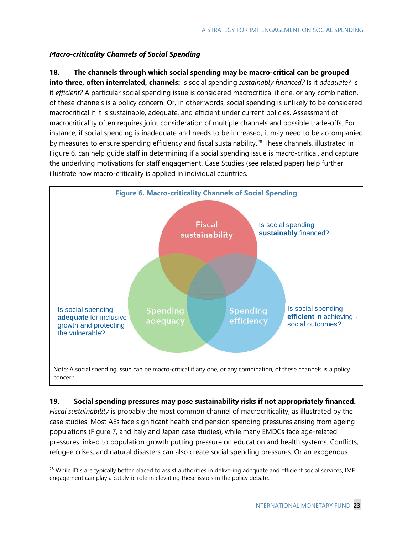#### *Macro-criticality Channels of Social Spending*

#### **18. The channels through which social spending may be macro-critical can be grouped**

**into three, often interrelated, channels:** Is social spending *sustainably financed?* Is it *adequate?* Is it *efficient?* A particular social spending issue is considered macrocritical if one, or any combination, of these channels is a policy concern. Or, in other words, social spending is unlikely to be considered macrocritical if it is sustainable, adequate, and efficient under current policies. Assessment of macrocriticality often requires joint consideration of multiple channels and possible trade-offs. For instance, if social spending is inadequate and needs to be increased, it may need to be accompanied by measures to ensure spending efficiency and fiscal sustainability.<sup>[28](#page-26-0)</sup> These channels, illustrated in Figure 6, can help guide staff in determining if a social spending issue is macro-critical, and capture the underlying motivations for staff engagement. Case Studies (see related paper) help further illustrate how macro-criticality is applied in individual countries.

![](_page_26_Figure_4.jpeg)

## **19. Social spending pressures may pose sustainability risks if not appropriately financed.** *Fiscal sustainability* is probably the most common channel of macrocriticality, as illustrated by the case studies. Most AEs face significant health and pension spending pressures arising from ageing populations (Figure 7, and Italy and Japan case studies), while many EMDCs face age-related pressures linked to population growth putting pressure on education and health systems. Conflicts, refugee crises, and natural disasters can also create social spending pressures. Or an exogenous

<span id="page-26-0"></span><sup>&</sup>lt;sup>28</sup> While IDIs are typically better placed to assist authorities in delivering adequate and efficient social services, IMF engagement can play a catalytic role in elevating these issues in the policy debate.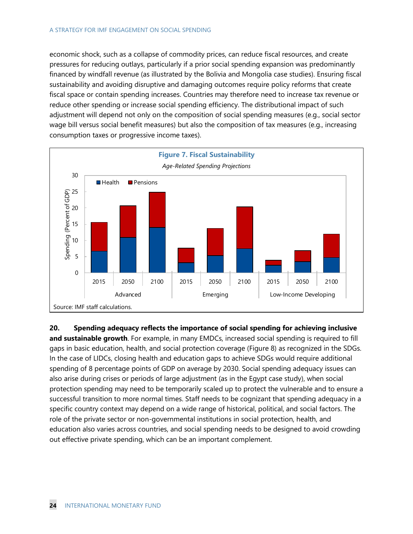economic shock, such as a collapse of commodity prices, can reduce fiscal resources, and create pressures for reducing outlays, particularly if a prior social spending expansion was predominantly financed by windfall revenue (as illustrated by the Bolivia and Mongolia case studies). Ensuring fiscal sustainability and avoiding disruptive and damaging outcomes require policy reforms that create fiscal space or contain spending increases. Countries may therefore need to increase tax revenue or reduce other spending or increase social spending efficiency. The distributional impact of such adjustment will depend not only on the composition of social spending measures (e.g., social sector wage bill versus social benefit measures) but also the composition of tax measures (e.g., increasing consumption taxes or progressive income taxes).

![](_page_27_Figure_2.jpeg)

**20. Spending adequacy reflects the importance of social spending for achieving inclusive and sustainable growth**. For example, in many EMDCs, increased social spending is required to fill gaps in basic education, health, and social protection coverage (Figure 8) as recognized in the SDGs. In the case of LIDCs, closing health and education gaps to achieve SDGs would require additional spending of 8 percentage points of GDP on average by 2030. Social spending adequacy issues can also arise during crises or periods of large adjustment (as in the Egypt case study), when social protection spending may need to be temporarily scaled up to protect the vulnerable and to ensure a successful transition to more normal times. Staff needs to be cognizant that spending adequacy in a specific country context may depend on a wide range of historical, political, and social factors. The role of the private sector or non-governmental institutions in social protection, health, and education also varies across countries, and social spending needs to be designed to avoid crowding out effective private spending, which can be an important complement.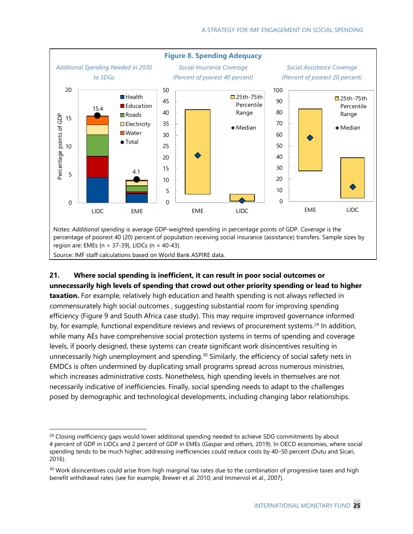![](_page_28_Figure_1.jpeg)

### **21. Where social spending is inefficient, it can result in poor social outcomes or unnecessarily high levels of spending that crowd out other priority spending or lead to higher**

**taxation.** For example, relatively high education and health spending is not always reflected in commensurately high social outcomes , suggesting substantial room for improving spending efficiency (Figure 9 and South Africa case study). This may require improved governance informed by, for example, functional expenditure reviews and reviews of procurement systems.<sup>[29](#page-28-0)</sup> In addition, while many AEs have comprehensive social protection systems in terms of spending and coverage levels, if poorly designed, these systems can create significant work disincentives resulting in unnecessarily high unemployment and spending.<sup>[30](#page-28-1)</sup> Similarly, the efficiency of social safety nets in EMDCs is often undermined by duplicating small programs spread across numerous ministries, which increases administrative costs. Nonetheless, high spending levels in themselves are not necessarily indicative of inefficiencies. Finally, social spending needs to adapt to the challenges posed by demographic and technological developments, including changing labor relationships.

<span id="page-28-0"></span> $29$  Closing inefficiency gaps would lower additional spending needed to achieve SDG commitments by about 4 percent of GDP in LIDCs and 2 percent of GDP in EMEs (Gaspar and others, 2019). In OECD economies, where social spending tends to be much higher, addressing inefficiencies could reduce costs by 40–50 percent (Dutu and Sicari, 2016).

<span id="page-28-1"></span><sup>&</sup>lt;sup>30</sup> Work disincentives could arise from high marginal tax rates due to the combination of progressive taxes and high benefit withdrawal rates (see for example, Brewer et al. 2010; and Immervol et al., 2007).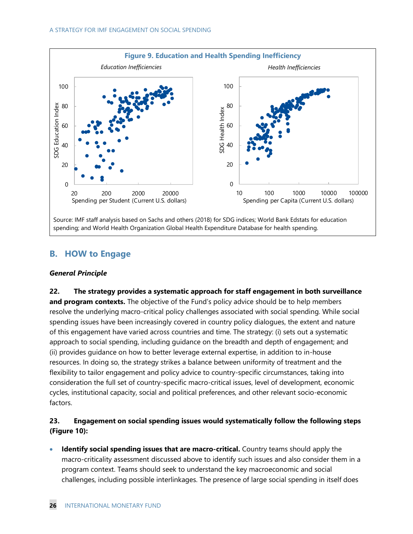![](_page_29_Figure_1.jpeg)

## **B. HOW to Engage**

#### *General Principle*

**22. The strategy provides a systematic approach for staff engagement in both surveillance**  and program contexts. The objective of the Fund's policy advice should be to help members resolve the underlying macro-critical policy challenges associated with social spending. While social spending issues have been increasingly covered in country policy dialogues, the extent and nature of this engagement have varied across countries and time. The strategy: (i) sets out a systematic approach to social spending, including guidance on the breadth and depth of engagement; and (ii) provides guidance on how to better leverage external expertise, in addition to in-house resources. In doing so, the strategy strikes a balance between uniformity of treatment and the flexibility to tailor engagement and policy advice to country-specific circumstances, taking into consideration the full set of country-specific macro-critical issues, level of development, economic cycles, institutional capacity, social and political preferences, and other relevant socio-economic factors.

### **23. Engagement on social spending issues would systematically follow the following steps (Figure 10):**

• **Identify social spending issues that are macro-critical.** Country teams should apply the macro-criticality assessment discussed above to identify such issues and also consider them in a program context. Teams should seek to understand the key macroeconomic and social challenges, including possible interlinkages. The presence of large social spending in itself does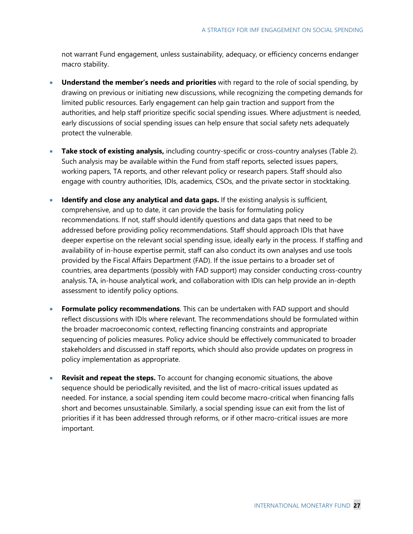not warrant Fund engagement, unless sustainability, adequacy, or efficiency concerns endanger macro stability.

- **Understand the member's needs and priorities** with regard to the role of social spending, by drawing on previous or initiating new discussions, while recognizing the competing demands for limited public resources. Early engagement can help gain traction and support from the authorities, and help staff prioritize specific social spending issues. Where adjustment is needed, early discussions of social spending issues can help ensure that social safety nets adequately protect the vulnerable.
- **Take stock of existing analysis,** including country-specific or cross-country analyses (Table 2). Such analysis may be available within the Fund from staff reports, selected issues papers, working papers, TA reports, and other relevant policy or research papers. Staff should also engage with country authorities, IDIs, academics, CSOs, and the private sector in stocktaking.
- **Identify and close any analytical and data gaps.** If the existing analysis is sufficient, comprehensive, and up to date, it can provide the basis for formulating policy recommendations. If not, staff should identify questions and data gaps that need to be addressed before providing policy recommendations. Staff should approach IDIs that have deeper expertise on the relevant social spending issue, ideally early in the process. If staffing and availability of in-house expertise permit, staff can also conduct its own analyses and use tools provided by the Fiscal Affairs Department (FAD). If the issue pertains to a broader set of countries, area departments (possibly with FAD support) may consider conducting cross-country analysis. TA, in-house analytical work, and collaboration with IDIs can help provide an in-depth assessment to identify policy options.
- **Formulate policy recommendations**. This can be undertaken with FAD support and should reflect discussions with IDIs where relevant. The recommendations should be formulated within the broader macroeconomic context, reflecting financing constraints and appropriate sequencing of policies measures. Policy advice should be effectively communicated to broader stakeholders and discussed in staff reports, which should also provide updates on progress in policy implementation as appropriate.
- **Revisit and repeat the steps.** To account for changing economic situations, the above sequence should be periodically revisited, and the list of macro-critical issues updated as needed. For instance, a social spending item could become macro-critical when financing falls short and becomes unsustainable. Similarly, a social spending issue can exit from the list of priorities if it has been addressed through reforms, or if other macro-critical issues are more important.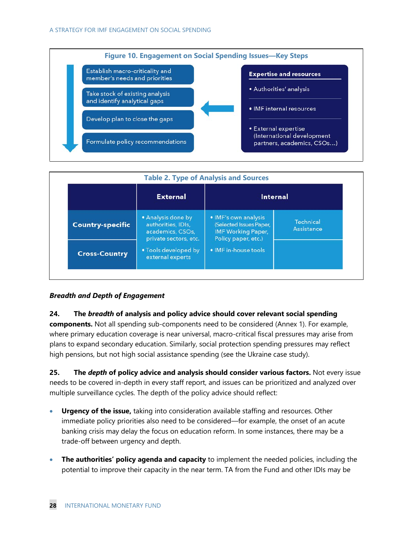![](_page_31_Figure_1.jpeg)

|                         | <b>External</b>                                                                       | <b>Internal</b>                                                                                     |                                       |
|-------------------------|---------------------------------------------------------------------------------------|-----------------------------------------------------------------------------------------------------|---------------------------------------|
| <b>Country-specific</b> | • Analysis done by<br>authorities, IDIs,<br>academics, CSOs,<br>private sectors, etc. | • IMF's own analysis<br>(Selected Issues Paper,<br><b>IMF Working Paper,</b><br>Policy paper, etc.) | <b>Technical</b><br><b>Assistance</b> |
| <b>Cross-Country</b>    | • Tools developed by<br>external experts                                              | . IMF in-house tools                                                                                |                                       |

#### *Breadth and Depth of Engagement*

#### **24. The** *breadth* **of analysis and policy advice should cover relevant social spending**

**components.** Not all spending sub-components need to be considered (Annex 1). For example, where primary education coverage is near universal, macro-critical fiscal pressures may arise from plans to expand secondary education. Similarly, social protection spending pressures may reflect high pensions, but not high social assistance spending (see the Ukraine case study).

**25. The** *depth* **of policy advice and analysis should consider various factors.** Not every issue needs to be covered in-depth in every staff report, and issues can be prioritized and analyzed over multiple surveillance cycles. The depth of the policy advice should reflect:

- **Urgency of the issue,** taking into consideration available staffing and resources. Other immediate policy priorities also need to be considered—for example, the onset of an acute banking crisis may delay the focus on education reform. In some instances, there may be a trade-off between urgency and depth.
- **The authorities' policy agenda and capacity** to implement the needed policies, including the potential to improve their capacity in the near term. TA from the Fund and other IDIs may be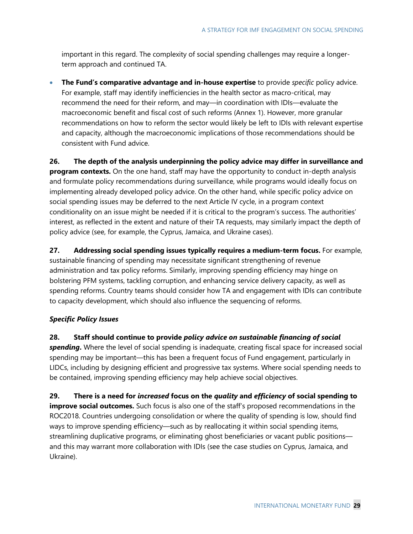important in this regard. The complexity of social spending challenges may require a longerterm approach and continued TA.

• **The Fund's comparative advantage and in-house expertise** to provide *specific* policy advice. For example, staff may identify inefficiencies in the health sector as macro-critical, may recommend the need for their reform, and may—in coordination with IDIs—evaluate the macroeconomic benefit and fiscal cost of such reforms (Annex 1). However, more granular recommendations on how to reform the sector would likely be left to IDIs with relevant expertise and capacity, although the macroeconomic implications of those recommendations should be consistent with Fund advice.

**26. The depth of the analysis underpinning the policy advice may differ in surveillance and program contexts.** On the one hand, staff may have the opportunity to conduct in-depth analysis and formulate policy recommendations during surveillance, while programs would ideally focus on implementing already developed policy advice. On the other hand, while specific policy advice on social spending issues may be deferred to the next Article IV cycle, in a program context conditionality on an issue might be needed if it is critical to the program's success. The authorities' interest, as reflected in the extent and nature of their TA requests, may similarly impact the depth of policy advice (see, for example, the Cyprus, Jamaica, and Ukraine cases).

**27. Addressing social spending issues typically requires a medium-term focus.** For example, sustainable financing of spending may necessitate significant strengthening of revenue administration and tax policy reforms. Similarly, improving spending efficiency may hinge on bolstering PFM systems, tackling corruption, and enhancing service delivery capacity, as well as spending reforms. Country teams should consider how TA and engagement with IDIs can contribute to capacity development, which should also influence the sequencing of reforms.

#### *Specific Policy Issues*

**28. Staff should continue to provide** *policy advice on sustainable financing of social spending***.** Where the level of social spending is inadequate, creating fiscal space for increased social spending may be important—this has been a frequent focus of Fund engagement, particularly in LIDCs, including by designing efficient and progressive tax systems. Where social spending needs to be contained, improving spending efficiency may help achieve social objectives.

**29. There is a need for** *increased* **focus on the** *quality* **and** *efficiency* **of social spending to improve social outcomes.** Such focus is also one of the staff's proposed recommendations in the ROC2018. Countries undergoing consolidation or where the quality of spending is low, should find ways to improve spending efficiency—such as by reallocating it within social spending items, streamlining duplicative programs, or eliminating ghost beneficiaries or vacant public positions and this may warrant more collaboration with IDIs (see the case studies on Cyprus, Jamaica, and Ukraine).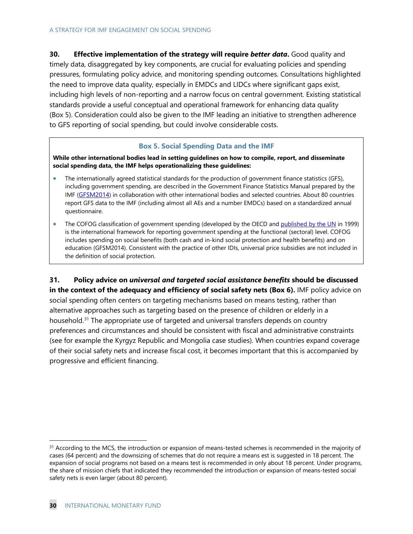**30. Effective implementation of the strategy will require** *better data***.** Good quality and timely data, disaggregated by key components, are crucial for evaluating policies and spending pressures, formulating policy advice, and monitoring spending outcomes. Consultations highlighted the need to improve data quality, especially in EMDCs and LIDCs where significant gaps exist, including high levels of non-reporting and a narrow focus on central government. Existing statistical standards provide a useful conceptual and operational framework for enhancing data quality (Box 5). Consideration could also be given to the IMF leading an initiative to strengthen adherence to GFS reporting of social spending, but could involve considerable costs.

#### **Box 5. Social Spending Data and the IMF**

**While other international bodies lead in setting guidelines on how to compile, report, and disseminate social spending data, the IMF helps operationalizing these guidelines:**

- The internationally agreed statistical standards for the production of government finance statistics (GFS), including government spending, are described in the Government Finance Statistics Manual prepared by the IMF [\(GFSM2014\)](https://www.imf.org/external/np/sta/gfsm/) in collaboration with other international bodies and selected countries. About 80 countries report GFS data to the IMF (including almost all AEs and a number EMDCs) based on a standardized annual questionnaire.
- The COFOG classification of government spending (developed by the OECD an[d published by the UN](https://unstats.un.org/unsd/classifications/unsdclassifications) in 1999) is the international framework for reporting government spending at the functional (sectoral) level. COFOG includes spending on social benefits (both cash and in-kind social protection and health benefits) and on education (GFSM2014). Consistent with the practice of other IDIs, universal price subsidies are not included in the definition of social protection.

**31. Policy advice on** *universal and targeted social assistance benefits* **should be discussed in the context of the adequacy and efficiency of social safety nets (Box 6).** IMF policy advice on social spending often centers on targeting mechanisms based on means testing, rather than alternative approaches such as targeting based on the presence of children or elderly in a household.<sup>[31](#page-33-0)</sup> The appropriate use of targeted and universal transfers depends on country preferences and circumstances and should be consistent with fiscal and administrative constraints (see for example the Kyrgyz Republic and Mongolia case studies). When countries expand coverage of their social safety nets and increase fiscal cost, it becomes important that this is accompanied by progressive and efficient financing.

<span id="page-33-0"></span> $31$  According to the MCS, the introduction or expansion of means-tested schemes is recommended in the majority of cases (64 percent) and the downsizing of schemes that do not require a means est is suggested in 18 percent. The expansion of social programs not based on a means test is recommended in only about 18 percent. Under programs, the share of mission chiefs that indicated they recommended the introduction or expansion of means-tested social safety nets is even larger (about 80 percent).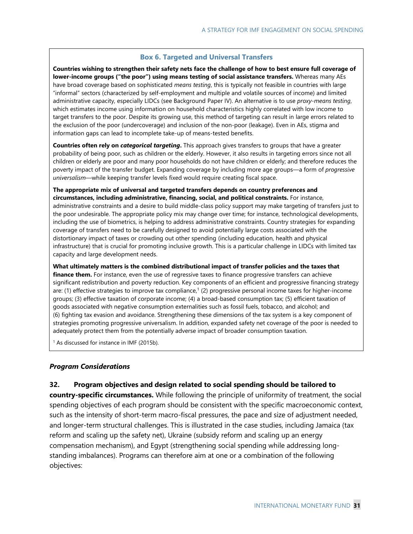#### **Box 6. Targeted and Universal Transfers**

**Countries wishing to strengthen their safety nets face the challenge of how to best ensure full coverage of lower-income groups ("the poor") using means testing of social assistance transfers.** Whereas many AEs have broad coverage based on sophisticated *means testing*, this is typically not feasible in countries with large "informal" sectors (characterized by self-employment and multiple and volatile sources of income) and limited administrative capacity, especially LIDCs (see Background Paper IV). An alternative is to use *proxy-means testing*, which estimates income using information on household characteristics highly correlated with low income to target transfers to the poor. Despite its growing use, this method of targeting can result in large errors related to the exclusion of the poor (undercoverage) and inclusion of the non-poor (leakage). Even in AEs, stigma and information gaps can lead to incomplete take-up of means-tested benefits.

**Countries often rely on** *categorical targeting***.** This approach gives transfers to groups that have a greater probability of being poor, such as children or the elderly. However, it also results in targeting errors since not all children or elderly are poor and many poor households do not have children or elderly; and therefore reduces the poverty impact of the transfer budget. Expanding coverage by including more age groups—a form of *progressive universalism*—while keeping transfer levels fixed would require creating fiscal space.

**The appropriate mix of universal and targeted transfers depends on country preferences and circumstances, including administrative, financing, social, and political constraints.** For instance, administrative constraints and a desire to build middle-class policy support may make targeting of transfers just to the poor undesirable. The appropriate policy mix may change over time; for instance, technological developments, including the use of biometrics, is helping to address administrative constraints. Country strategies for expanding coverage of transfers need to be carefully designed to avoid potentially large costs associated with the distortionary impact of taxes or crowding out other spending (including education, health and physical infrastructure) that is crucial for promoting inclusive growth. This is a particular challenge in LIDCs with limited tax capacity and large development needs.

**What ultimately matters is the combined distributional impact of transfer policies and the taxes that finance them.** For instance, even the use of regressive taxes to finance progressive transfers can achieve significant redistribution and poverty reduction. Key components of an efficient and progressive financing strategy are: (1) effective strategies to improve tax compliance,<sup>1</sup> (2) progressive personal income taxes for higher-income groups; (3) effective taxation of corporate income; (4) a broad-based consumption tax; (5) efficient taxation of goods associated with negative consumption externalities such as fossil fuels, tobacco, and alcohol; and (6) fighting tax evasion and avoidance. Strengthening these dimensions of the tax system is a key component of strategies promoting progressive universalism. In addition, expanded safety net coverage of the poor is needed to adequately protect them from the potentially adverse impact of broader consumption taxation.

<sup>1</sup> As discussed for instance in IMF (2015b).

#### *Program Considerations*

**32. Program objectives and design related to social spending should be tailored to** 

**country-specific circumstances.** While following the principle of uniformity of treatment, the social spending objectives of each program should be consistent with the specific macroeconomic context, such as the intensity of short-term macro-fiscal pressures, the pace and size of adjustment needed, and longer-term structural challenges. This is illustrated in the case studies, including Jamaica (tax reform and scaling up the safety net), Ukraine (subsidy reform and scaling up an energy compensation mechanism), and Egypt (strengthening social spending while addressing longstanding imbalances). Programs can therefore aim at one or a combination of the following objectives: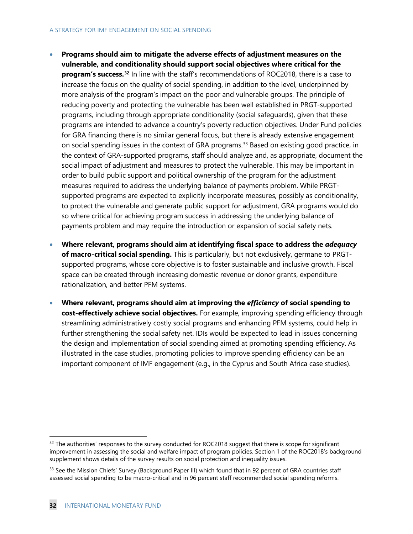- **Programs should aim to mitigate the adverse effects of adjustment measures on the vulnerable, and conditionality should support social objectives where critical for the program's success. [32](#page-35-0)** In line with the staff's recommendations of ROC2018, there is a case to increase the focus on the quality of social spending, in addition to the level, underpinned by more analysis of the program's impact on the poor and vulnerable groups. The principle of reducing poverty and protecting the vulnerable has been well established in PRGT-supported programs, including through appropriate conditionality (social safeguards), given that these programs are intended to advance a country's poverty reduction objectives. Under Fund policies for GRA financing there is no similar general focus, but there is already extensive engagement on social spending issues in the context of GRA programs. [33](#page-35-1) Based on existing good practice, in the context of GRA-supported programs, staff should analyze and, as appropriate, document the social impact of adjustment and measures to protect the vulnerable. This may be important in order to build public support and political ownership of the program for the adjustment measures required to address the underlying balance of payments problem. While PRGTsupported programs are expected to explicitly incorporate measures, possibly as conditionality, to protect the vulnerable and generate public support for adjustment, GRA programs would do so where critical for achieving program success in addressing the underlying balance of payments problem and may require the introduction or expansion of social safety nets.
- **Where relevant, programs should aim at identifying fiscal space to address the** *adequacy* **of macro-critical social spending.** This is particularly, but not exclusively, germane to PRGTsupported programs, whose core objective is to foster sustainable and inclusive growth. Fiscal space can be created through increasing domestic revenue or donor grants, expenditure rationalization, and better PFM systems.
- **Where relevant, programs should aim at improving the** *efficiency* **of social spending to cost-effectively achieve social objectives.** For example, improving spending efficiency through streamlining administratively costly social programs and enhancing PFM systems, could help in further strengthening the social safety net. IDIs would be expected to lead in issues concerning the design and implementation of social spending aimed at promoting spending efficiency. As illustrated in the case studies, promoting policies to improve spending efficiency can be an important component of IMF engagement (e.g., in the Cyprus and South Africa case studies).

<span id="page-35-0"></span> $32$  The authorities' responses to the survey conducted for ROC2018 suggest that there is scope for significant improvement in assessing the social and welfare impact of program policies. Section 1 of the ROC2018's background supplement shows details of the survey results on social protection and inequality issues.

<span id="page-35-1"></span><sup>&</sup>lt;sup>33</sup> See the Mission Chiefs' Survey (Background Paper III) which found that in 92 percent of GRA countries staff assessed social spending to be macro-critical and in 96 percent staff recommended social spending reforms.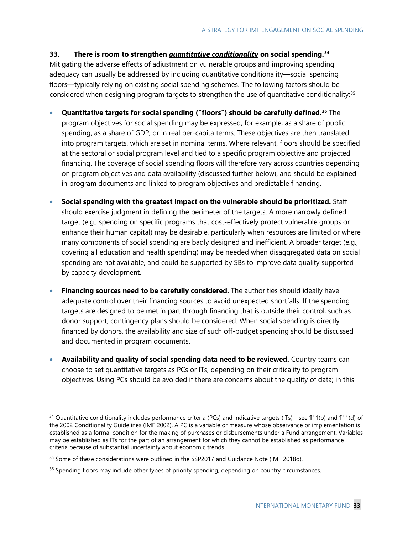**33. There is room to strengthen** *quantitative conditionality* **on social spending.[34](#page-36-0)**

Mitigating the adverse effects of adjustment on vulnerable groups and improving spending adequacy can usually be addressed by including quantitative conditionality—social spending floors—typically relying on existing social spending schemes. The following factors should be considered when designing program targets to strengthen the use of quantitative conditionality: [35](#page-36-1)

- **Quantitative targets for social spending ("floors") should be carefully defined[.36](#page-36-2)** The program objectives for social spending may be expressed, for example, as a share of public spending, as a share of GDP, or in real per-capita terms. These objectives are then translated into program targets, which are set in nominal terms. Where relevant, floors should be specified at the sectoral or social program level and tied to a specific program objective and projected financing. The coverage of social spending floors will therefore vary across countries depending on program objectives and data availability (discussed further below), and should be explained in program documents and linked to program objectives and predictable financing.
- **Social spending with the greatest impact on the vulnerable should be prioritized.** Staff should exercise judgment in defining the perimeter of the targets. A more narrowly defined target (e.g., spending on specific programs that cost-effectively protect vulnerable groups or enhance their human capital) may be desirable, particularly when resources are limited or where many components of social spending are badly designed and inefficient. A broader target (e.g., covering all education and health spending) may be needed when disaggregated data on social spending are not available, and could be supported by SBs to improve data quality supported by capacity development.
- **Financing sources need to be carefully considered.** The authorities should ideally have adequate control over their financing sources to avoid unexpected shortfalls. If the spending targets are designed to be met in part through financing that is outside their control, such as donor support, contingency plans should be considered. When social spending is directly financed by donors, the availability and size of such off-budget spending should be discussed and documented in program documents.
- **Availability and quality of social spending data need to be reviewed.** Country teams can choose to set quantitative targets as PCs or ITs, depending on their criticality to program objectives. Using PCs should be avoided if there are concerns about the quality of data; in this

<span id="page-36-0"></span> <sup>34</sup> Quantitative conditionality includes performance criteria (PCs) and indicative targets (ITs)—see ¶11(b) and ¶11(d) of the 2002 Conditionality Guidelines (IMF 2002). A PC is a variable or measure whose observance or implementation is established as a formal condition for the making of purchases or disbursements under a Fund arrangement. Variables may be established as ITs for the part of an arrangement for which they cannot be established as performance criteria because of substantial uncertainty about economic trends.

<span id="page-36-1"></span><sup>&</sup>lt;sup>35</sup> Some of these considerations were outlined in the SSP2017 and Guidance Note (IMF 2018d).

<span id="page-36-2"></span><sup>&</sup>lt;sup>36</sup> Spending floors may include other types of priority spending, depending on country circumstances.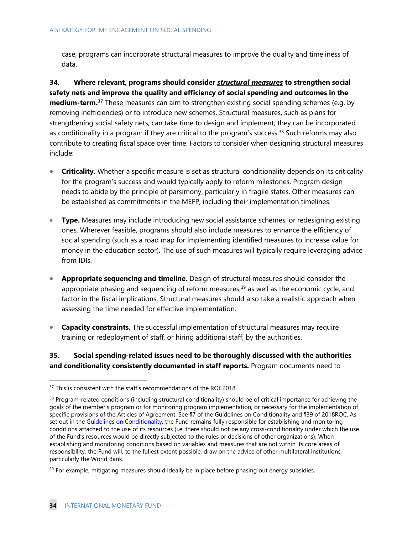case, programs can incorporate structural measures to improve the quality and timeliness of data.

**34. Where relevant, programs should consider** *structural measures* **to strengthen social safety nets and improve the quality and efficiency of social spending and outcomes in the medium-term.[37](#page-37-0)** These measures can aim to strengthen existing social spending schemes (e.g. by removing inefficiencies) or to introduce new schemes. Structural measures, such as plans for strengthening social safety nets, can take time to design and implement; they can be incorporated as conditionality in a program if they are critical to the program's success. [38](#page-37-1) Such reforms may also contribute to creating fiscal space over time. Factors to consider when designing structural measures include:

- **Criticality.** Whether a specific measure is set as structural conditionality depends on its criticality for the program's success and would typically apply to reform milestones. Program design needs to abide by the principle of parsimony, particularly in fragile states. Other measures can be established as commitments in the MEFP, including their implementation timelines.
- **Type.** Measures may include introducing new social assistance schemes, or redesigning existing ones. Wherever feasible, programs should also include measures to enhance the efficiency of social spending (such as a road map for implementing identified measures to increase value for money in the education sector). The use of such measures will typically require leveraging advice from IDIs.
- **Appropriate sequencing and timeline.** Design of structural measures should consider the appropriate phasing and sequencing of reform measures, [39](#page-37-2) as well as the economic cycle, and factor in the fiscal implications. Structural measures should also take a realistic approach when assessing the time needed for effective implementation.
- **Capacity constraints.** The successful implementation of structural measures may require training or redeployment of staff, or hiring additional staff, by the authorities.

### **35. Social spending-related issues need to be thoroughly discussed with the authorities and conditionality consistently documented in staff reports.** Program documents need to

<span id="page-37-0"></span><sup>&</sup>lt;sup>37</sup> This is consistent with the staff's recommendations of the ROC2018.

<span id="page-37-1"></span><sup>&</sup>lt;sup>38</sup> Program-related conditions (including structural conditionality) should be of critical importance for achieving the goals of the member's program or for monitoring program implementation, or necessary for the implementation of specific provisions of the Articles of Agreement. See ¶7 of the Guidelines on Conditionality and ¶39 of 2018ROC. As set out in the [Guidelines on Conditionality,](https://www.imf.org/en/About/Factsheets/Sheets/2016/08/02/21/28/IMF-Conditionality) the Fund remains fully responsible for establishing and monitoring conditions attached to the use of its resources (i.e. there should not be any cross-conditionality under which the use of the Fund's resources would be directly subjected to the rules or decisions of other organizations). When establishing and monitoring conditions based on variables and measures that are not within its core areas of responsibility, the Fund will, to the fullest extent possible, draw on the advice of other multilateral institutions, particularly the World Bank.

<span id="page-37-2"></span> $39$  For example, mitigating measures should ideally be in place before phasing out energy subsidies.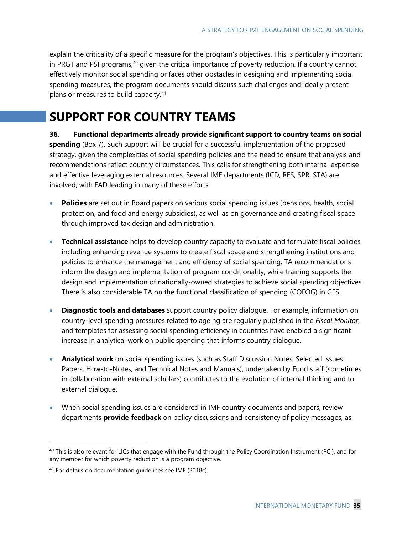explain the criticality of a specific measure for the program's objectives. This is particularly important in PRGT and PSI programs,<sup>[40](#page-38-0)</sup> given the critical importance of poverty reduction. If a country cannot effectively monitor social spending or faces other obstacles in designing and implementing social spending measures, the program documents should discuss such challenges and ideally present plans or measures to build capacity.<sup>[41](#page-38-1)</sup>

## **SUPPORT FOR COUNTRY TEAMS**

**36. Functional departments already provide significant support to country teams on social spending** (Box 7). Such support will be crucial for a successful implementation of the proposed strategy, given the complexities of social spending policies and the need to ensure that analysis and recommendations reflect country circumstances. This calls for strengthening both internal expertise and effective leveraging external resources. Several IMF departments (ICD, RES, SPR, STA) are involved, with FAD leading in many of these efforts:

- **Policies** are set out in Board papers on various social spending issues (pensions, health, social protection, and food and energy subsidies), as well as on governance and creating fiscal space through improved tax design and administration.
- **Technical assistance** helps to develop country capacity to evaluate and formulate fiscal policies, including enhancing revenue systems to create fiscal space and strengthening institutions and policies to enhance the management and efficiency of social spending. TA recommendations inform the design and implementation of program conditionality, while training supports the design and implementation of nationally-owned strategies to achieve social spending objectives. There is also considerable TA on the functional classification of spending (COFOG) in GFS.
- **Diagnostic tools and databases** support country policy dialogue. For example, information on country-level spending pressures related to ageing are regularly published in the *Fiscal Monitor*, and templates for assessing social spending efficiency in countries have enabled a significant increase in analytical work on public spending that informs country dialogue.
- **Analytical work** on social spending issues (such as Staff Discussion Notes, Selected Issues Papers, How-to-Notes, and Technical Notes and Manuals), undertaken by Fund staff (sometimes in collaboration with external scholars) contributes to the evolution of internal thinking and to external dialogue.
- When social spending issues are considered in IMF country documents and papers, review departments **provide feedback** on policy discussions and consistency of policy messages, as

<span id="page-38-0"></span><sup>&</sup>lt;sup>40</sup> This is also relevant for LICs that engage with the Fund through the Policy Coordination Instrument (PCI), and for any member for which poverty reduction is a program objective.

<span id="page-38-1"></span><sup>41</sup> For details on documentation guidelines see IMF (2018c).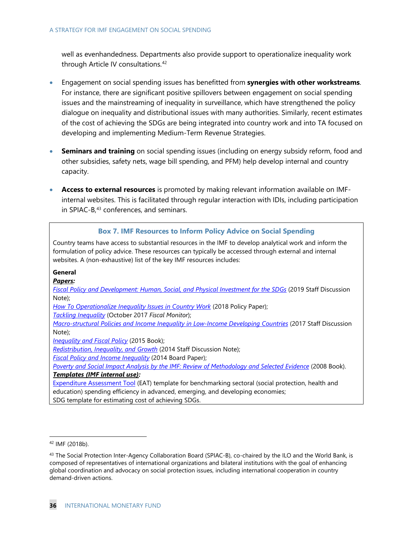well as evenhandedness. Departments also provide support to operationalize inequality work through Article IV consultations. [42](#page-39-0)

- Engagement on social spending issues has benefitted from **synergies with other workstreams**. For instance, there are significant positive spillovers between engagement on social spending issues and the mainstreaming of inequality in surveillance, which have strengthened the policy dialogue on inequality and distributional issues with many authorities. Similarly, recent estimates of the cost of achieving the SDGs are being integrated into country work and into TA focused on developing and implementing Medium-Term Revenue Strategies.
- **Seminars and training** on social spending issues (including on energy subsidy reform, food and other subsidies, safety nets, wage bill spending, and PFM) help develop internal and country capacity.
- **Access to external resources** is promoted by making relevant information available on IMFinternal websites. This is facilitated through regular interaction with IDIs, including participation in SPIAC-B,<sup>[43](#page-39-1)</sup> conferences, and seminars.

#### **Box 7. IMF Resources to Inform Policy Advice on Social Spending**

Country teams have access to substantial resources in the IMF to develop analytical work and inform the formulation of policy advice. These resources can typically be accessed through external and internal websites. A (non-exhaustive) list of the key IMF resources includes:

#### **General**

*Papers:*

*[Fiscal Policy and Development: Human, Social, and Physical Investment for the SDGs](https://www.imf.org/%7E/media/Files/Publications/SDN/2019/SDN1903.ashx)* (2019 Staff Discussion Note);

*[How To Operationalize Inequality Issues in Country Work](https://www.imf.org/en/Publications/Policy-Papers/Issues/2018/06/13/pp060118howto-note-on-inequality)* (2018 Policy Paper);

*[Tackling Inequality](http://www.imf.org/en/publications/fm/issues/2017/10/05/fiscal-monitor-october-2017)* (October 2017 *Fiscal Monitor*);

*[Macro-structural Policies and Income Inequality in Low-Income Developing Countries](https://www.imf.org/en/Publications/Staff-Discussion-Notes/Issues/2017/01/26/Macro-Structural-Policies-and-Income-Inequality-in-Low-Income-Developing-Countries-44526)* (2017 Staff Discussion Note);

*[Inequality and Fiscal Policy](https://www.bookstore.imf.org/books/title/inequality-and-fiscal-policy)* (2015 Book);

*[Redistribution, Inequality, and Growth](https://www.imf.org/en/Publications/Staff-Discussion-Notes/Issues/2016/12/31/Redistribution-Inequality-and-Growth-41291)* (2014 Staff Discussion Note);

*[Fiscal Policy and Income Inequality](https://www.imf.org/en/Publications/Policy-Papers/Issues/2016/12/31/Fiscal-Policy-and-Income-Inequality-PP4849)* (2014 Board Paper);

*[Poverty and Social Impact Analysis by the IMF: Review of Methodology and Selected Evidence](https://www.imf.org/en/Publications/Books/Issues/2016/12/31/Poverty-and-Social-Impact-Analysis-by-the-IMF-Review-of-Methodology-and-Selected-Evidence-20563)* (2008 Book). *Templates (IMF internal use):*

[Expenditure Assessment Tool](http://intranetapps.imf.org/fundwide/ke/Topics/Expenditure-Policy/Pages/otherresources.aspx) (EAT) template for benchmarking sectoral (social protection, health and education) spending efficiency in advanced, emerging, and developing economies; SDG template for estimating cost of achieving SDGs.

<span id="page-39-0"></span> <sup>42</sup> IMF (2018b).

<span id="page-39-1"></span><sup>43</sup> The Social Protection Inter-Agency Collaboration Board (SPIAC-B), co-chaired by the ILO and the World Bank, is composed of representatives of international organizations and bilateral institutions with the goal of enhancing global coordination and advocacy on social protection issues, including international cooperation in country demand-driven actions.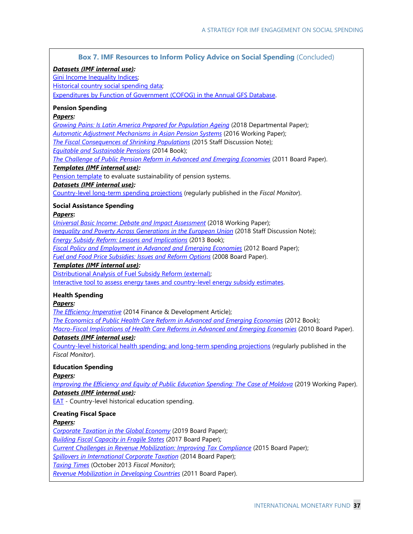| <b>Box 7. IMF Resources to Inform Policy Advice on Social Spending (Concluded)</b>                                                                         |
|------------------------------------------------------------------------------------------------------------------------------------------------------------|
| Datasets (IMF internal use):                                                                                                                               |
| <b>Gini Income Inequality Indices;</b>                                                                                                                     |
| Historical country social spending data;                                                                                                                   |
| Expenditures by Function of Government (COFOG) in the Annual GFS Database.                                                                                 |
| <b>Pension Spending</b>                                                                                                                                    |
| Papers:                                                                                                                                                    |
| Growing Pains: Is Latin America Prepared for Population Ageing (2018 Departmental Paper);                                                                  |
| Automatic Adjustment Mechanisms in Asian Pension Systems (2016 Working Paper);                                                                             |
| The Fiscal Consequences of Shrinking Populations (2015 Staff Discussion Note);                                                                             |
| <b>Equitable and Sustainable Pensions (2014 Book);</b>                                                                                                     |
| The Challenge of Public Pension Reform in Advanced and Emerging Economies (2011 Board Paper).<br>Templates (IMF internal use):                             |
| Pension template to evaluate sustainability of pension systems.                                                                                            |
| Datasets (IMF internal use):                                                                                                                               |
| Country-level long-term spending projections (regularly published in the Fiscal Monitor).                                                                  |
| <b>Social Assistance Spending</b>                                                                                                                          |
| Papers:                                                                                                                                                    |
| Universal Basic Income: Debate and Impact Assessment (2018 Working Paper);                                                                                 |
| <b>Inequality and Poverty Across Generations in the European Union (2018 Staff Discussion Note);</b>                                                       |
| <b>Energy Subsidy Reform: Lessons and Implications (2013 Book);</b><br>Fiscal Policy and Employment in Advanced and Emerging Economies (2012 Board Paper); |
| Fuel and Food Price Subsidies: Issues and Reform Options (2008 Board Paper).                                                                               |
| Templates (IMF internal use):                                                                                                                              |
| Distributional Analysis of Fuel Subsidy Reform (external);                                                                                                 |
| Interactive tool to assess energy taxes and country-level energy subsidy estimates.                                                                        |
| <b>Health Spending</b>                                                                                                                                     |
| Papers:                                                                                                                                                    |
| The Efficiency Imperative (2014 Finance & Development Article);                                                                                            |
| The Economics of Public Health Care Reform in Advanced and Emerging Economies (2012 Book);                                                                 |
| Macro-Fiscal Implications of Health Care Reforms in Advanced and Emerging Economies (2010 Board Paper).                                                    |
| Datasets (IMF internal use):                                                                                                                               |
| Country-level historical health spending; and long-term spending projections (regularly published in the<br>Fiscal Monitor).                               |
|                                                                                                                                                            |
| <b>Education Spending</b>                                                                                                                                  |
| Papers:                                                                                                                                                    |
| Improving the Efficiency and Equity of Public Education Spending: The Case of Moldova (2019 Working Paper).<br>Datasets (IMF internal use):                |
| <b>EAT</b> - Country-level historical education spending.                                                                                                  |
|                                                                                                                                                            |
| <b>Creating Fiscal Space</b>                                                                                                                               |
| <u>Papers:</u>                                                                                                                                             |
| Corporate Taxation in the Global Economy (2019 Board Paper);<br><b>Building Fiscal Capacity in Fragile States</b> (2017 Board Paper);                      |
| Current Challenges in Revenue Mobilization: Improving Tax Compliance (2015 Board Paper);                                                                   |
| Spillovers in International Corporate Taxation (2014 Board Paper);                                                                                         |
| Taxing Times (October 2013 Fiscal Monitor);                                                                                                                |
|                                                                                                                                                            |

*[Revenue Mobilization in Developing Countries](https://www.imf.org/en/Publications/Policy-Papers/Issues/2016/12/31/Revenue-Mobilization-in-Developing-Countries-PP4537)* (2011 Board Paper).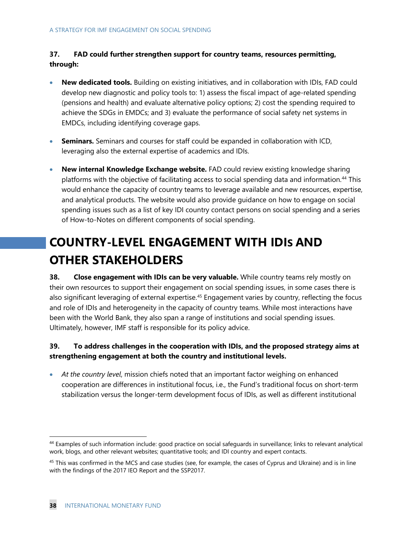### **37. FAD could further strengthen support for country teams, resources permitting, through:**

- **New dedicated tools.** Building on existing initiatives, and in collaboration with IDIs, FAD could develop new diagnostic and policy tools to: 1) assess the fiscal impact of age-related spending (pensions and health) and evaluate alternative policy options; 2) cost the spending required to achieve the SDGs in EMDCs; and 3) evaluate the performance of social safety net systems in EMDCs, including identifying coverage gaps.
- **Seminars.** Seminars and courses for staff could be expanded in collaboration with ICD, leveraging also the external expertise of academics and IDIs.
- **New internal Knowledge Exchange website.** FAD could review existing knowledge sharing platforms with the objective of facilitating access to social spending data and information.<sup>[44](#page-41-0)</sup> This would enhance the capacity of country teams to leverage available and new resources, expertise, and analytical products. The website would also provide guidance on how to engage on social spending issues such as a list of key IDI country contact persons on social spending and a series of How-to-Notes on different components of social spending.

# **COUNTRY-LEVEL ENGAGEMENT WITH IDIS AND OTHER STAKEHOLDERS**

**38. Close engagement with IDIs can be very valuable.** While country teams rely mostly on their own resources to support their engagement on social spending issues, in some cases there is also significant leveraging of external expertise.<sup>[45](#page-41-1)</sup> Engagement varies by country, reflecting the focus and role of IDIs and heterogeneity in the capacity of country teams. While most interactions have been with the World Bank, they also span a range of institutions and social spending issues. Ultimately, however, IMF staff is responsible for its policy advice.

### **39. To address challenges in the cooperation with IDIs, and the proposed strategy aims at strengthening engagement at both the country and institutional levels.**

• *At the country level*, mission chiefs noted that an important factor weighing on enhanced cooperation are differences in institutional focus, i.e., the Fund's traditional focus on short-term stabilization versus the longer-term development focus of IDIs, as well as different institutional

<span id="page-41-0"></span> <sup>44</sup> Examples of such information include: good practice on social safeguards in surveillance; links to relevant analytical work, blogs, and other relevant websites; quantitative tools; and IDI country and expert contacts.

<span id="page-41-1"></span><sup>&</sup>lt;sup>45</sup> This was confirmed in the MCS and case studies (see, for example, the cases of Cyprus and Ukraine) and is in line with the findings of the 2017 IEO Report and the SSP2017.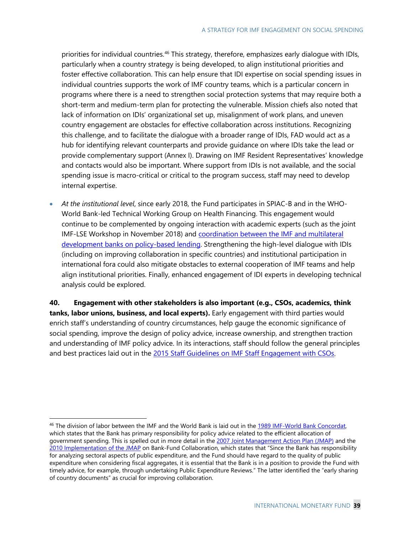priorities for individual countries.<sup>[46](#page-42-0)</sup> This strategy, therefore, emphasizes early dialogue with IDIs, particularly when a country strategy is being developed, to align institutional priorities and foster effective collaboration. This can help ensure that IDI expertise on social spending issues in individual countries supports the work of IMF country teams, which is a particular concern in programs where there is a need to strengthen social protection systems that may require both a short-term and medium-term plan for protecting the vulnerable. Mission chiefs also noted that lack of information on IDIs' organizational set up, misalignment of work plans, and uneven country engagement are obstacles for effective collaboration across institutions. Recognizing this challenge, and to facilitate the dialogue with a broader range of IDIs, FAD would act as a hub for identifying relevant counterparts and provide guidance on where IDIs take the lead or provide complementary support (Annex I). Drawing on IMF Resident Representatives' knowledge and contacts would also be important. Where support from IDIs is not available, and the social spending issue is macro-critical or critical to the program success, staff may need to develop internal expertise.

• *At the institutional level*, since early 2018, the Fund participates in SPIAC-B and in the WHO-World Bank-led Technical Working Group on Health Financing. This engagement would continue to be complemented by ongoing interaction with academic experts (such as the joint IMF-LSE Workshop in November 2018) and [coordination between the IMF and multilateral](http://www.google.com/url?sa=t&rct=j&q=&esrc=s&source=web&cd=1&cad=rja&uact=8&ved=2ahUKEwjRq_So__ffAhWqtVkKHVYLCc4QFjAAegQIABAC&url=http%3A%2F%2Fwww.imf.org%2Fexternal%2Fnp%2Fg20%2Fpdf%2F2018%2F082918.pdf&usg=AOvVaw3-Amz_XdtDjU9HO-jvXpYJ)  [development banks on policy-based lending.](http://www.google.com/url?sa=t&rct=j&q=&esrc=s&source=web&cd=1&cad=rja&uact=8&ved=2ahUKEwjRq_So__ffAhWqtVkKHVYLCc4QFjAAegQIABAC&url=http%3A%2F%2Fwww.imf.org%2Fexternal%2Fnp%2Fg20%2Fpdf%2F2018%2F082918.pdf&usg=AOvVaw3-Amz_XdtDjU9HO-jvXpYJ) Strengthening the high-level dialogue with IDIs (including on improving collaboration in specific countries) and institutional participation in international fora could also mitigate obstacles to external cooperation of IMF teams and help align institutional priorities. Finally, enhanced engagement of IDI experts in developing technical analysis could be explored.

**40. Engagement with other stakeholders is also important (e.g., CSOs, academics, think tanks, labor unions, business, and local experts).** Early engagement with third parties would enrich staff's understanding of country circumstances, help gauge the economic significance of social spending, improve the design of policy advice, increase ownership, and strengthen traction and understanding of IMF policy advice. In its interactions, staff should follow the general principles and best practices laid out in the 2015 [Staff Guidelines on IMF Staff Engagement with CSOs.](http://www-intranet.imf.org/News/message/Pages/default.aspx)

<span id="page-42-0"></span> <sup>46</sup> The division of labor between the IMF and the World Bank is laid out in the [1989 IMF-World Bank Concordat,](https://www.imf.org/external/SelectedDecisions/Description.aspx?decision=SM/89/54)  which states that the Bank has primary responsibility for policy advice related to the efficient allocation of government spending. This is spelled out in more detail in the [2007 Joint Management Action Plan \(JMAP\)](https://www.imf.org/en/News/Articles/2015/09/14/01/49/pr07235) and the [2010 Implementation of the JMAP](https://www.imf.org/en/Publications/Policy-Papers/Issues/2016/12/31/Implementation-of-the-Joint-Management-Action-Plan-on-Bank-Fund-Collaboration-PP4429) on Bank-Fund Collaboration, which states that "Since the Bank has responsibility for analyzing sectoral aspects of public expenditure, and the Fund should have regard to the quality of public expenditure when considering fiscal aggregates, it is essential that the Bank is in a position to provide the Fund with timely advice, for example, through undertaking Public Expenditure Reviews." The latter identified the "early sharing of country documents" as crucial for improving collaboration.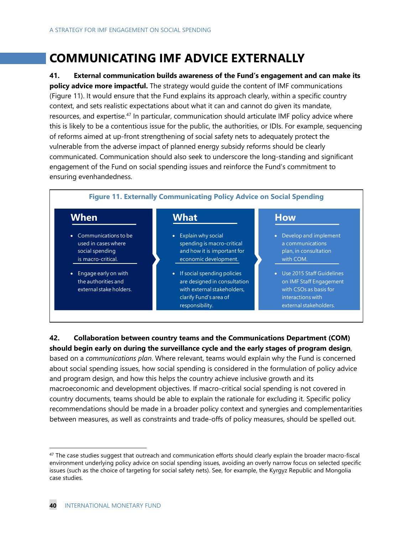## **COMMUNICATING IMF ADVICE EXTERNALLY**

**41. External communication builds awareness of the Fund's engagement and can make its policy advice more impactful.** The strategy would guide the content of IMF communications (Figure 11). It would ensure that the Fund explains its approach clearly, within a specific country context, and sets realistic expectations about what it can and cannot do given its mandate, resources, and expertise.<sup>[47](#page-43-0)</sup> In particular, communication should articulate IMF policy advice where this is likely to be a contentious issue for the public, the authorities, or IDIs. For example, sequencing of reforms aimed at up-front strengthening of social safety nets to adequately protect the vulnerable from the adverse impact of planned energy subsidy reforms should be clearly communicated. Communication should also seek to underscore the long-standing and significant engagement of the Fund on social spending issues and reinforce the Fund's commitment to ensuring evenhandedness.

![](_page_43_Figure_3.jpeg)

### **42. Collaboration between country teams and the Communications Department (COM) should begin early on during the surveillance cycle and the early stages of program design**,

based on a *communications plan*. Where relevant, teams would explain why the Fund is concerned about social spending issues, how social spending is considered in the formulation of policy advice and program design, and how this helps the country achieve inclusive growth and its macroeconomic and development objectives. If macro-critical social spending is not covered in country documents, teams should be able to explain the rationale for excluding it. Specific policy recommendations should be made in a broader policy context and synergies and complementarities between measures, as well as constraints and trade-offs of policy measures, should be spelled out.

<span id="page-43-0"></span> $47$  The case studies suggest that outreach and communication efforts should clearly explain the broader macro-fiscal environment underlying policy advice on social spending issues, avoiding an overly narrow focus on selected specific issues (such as the choice of targeting for social safety nets). See, for example, the Kyrgyz Republic and Mongolia case studies.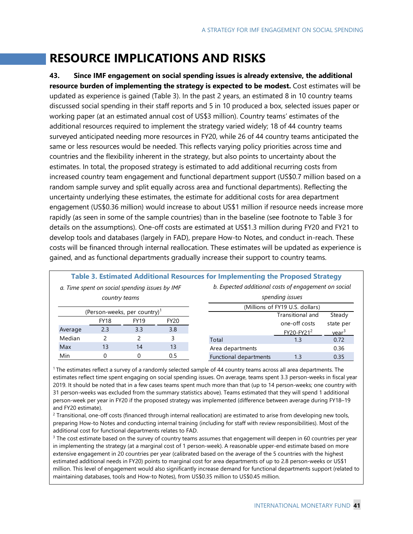## **RESOURCE IMPLICATIONS AND RISKS**

**43. Since IMF engagement on social spending issues is already extensive, the additional resource burden of implementing the strategy is expected to be modest.** Cost estimates will be updated as experience is gained (Table 3). In the past 2 years, an estimated 8 in 10 country teams discussed social spending in their staff reports and 5 in 10 produced a box, selected issues paper or working paper (at an estimated annual cost of US\$3 million). Country teams' estimates of the additional resources required to implement the strategy varied widely; 18 of 44 country teams surveyed anticipated needing more resources in FY20, while 26 of 44 country teams anticipated the same or less resources would be needed. This reflects varying policy priorities across time and countries and the flexibility inherent in the strategy, but also points to uncertainty about the estimates. In total, the proposed strategy is estimated to add additional recurring costs from increased country team engagement and functional department support (US\$0.7 million based on a random sample survey and split equally across area and functional departments). Reflecting the uncertainty underlying these estimates, the estimate for additional costs for area department engagement (US\$0.36 million) would increase to about US\$1 million if resource needs increase more rapidly (as seen in some of the sample countries) than in the baseline (see footnote to Table 3 for details on the assumptions). One-off costs are estimated at US\$1.3 million during FY20 and FY21 to develop tools and databases (largely in FAD), prepare How-to Notes, and conduct in-reach. These costs will be financed through internal reallocation. These estimates will be updated as experience is gained, and as functional departments gradually increase their support to country teams.

| Table 3. Estimated Additional Resources for Implementing the Proposed Strategy |             |             |                  |                                                      |                                 |                   |
|--------------------------------------------------------------------------------|-------------|-------------|------------------|------------------------------------------------------|---------------------------------|-------------------|
| a. Time spent on social spending issues by IMF                                 |             |             |                  | b. Expected additional costs of engagement on social |                                 |                   |
| country teams                                                                  |             |             |                  | spending issues                                      |                                 |                   |
|                                                                                |             |             |                  |                                                      | (Millions of FY19 U.S. dollars) |                   |
| (Person-weeks, per country) <sup>1</sup>                                       |             |             | Transitional and | Steady                                               |                                 |                   |
|                                                                                | <b>FY18</b> | <b>FY19</b> | <b>FY20</b>      |                                                      | one-off costs                   | state per         |
| Average                                                                        | 2.3         | 3.3         | 3.8              |                                                      | FY20-FY21 <sup>2</sup>          | year <sup>3</sup> |
| Median                                                                         |             |             |                  | Total                                                | 1.3                             | 0.72              |
| Max                                                                            | 13          | 14          | 13               | Area departments                                     |                                 | 0.36              |
| Min                                                                            |             |             | 0.5              | Functional departments                               | 1.3                             | 0.35              |

1 The estimates reflect a survey of a randomly selected sample of 44 country teams across all area departments. The estimates reflect time spent engaging on social spending issues. On average, teams spent 3.3 person-weeks in fiscal year 2019. It should be noted that in a few cases teams spent much more than that (up to 14 person-weeks; one country with 31 person-weeks was excluded from the summary statistics above). Teams estimated that they will spend 1 additional person-week per year in FY20 if the proposed strategy was implemented (difference between average during FY18–19 and FY20 estimate).

<sup>2</sup> Transitional, one-off costs (financed through internal reallocation) are estimated to arise from developing new tools, preparing How-to Notes and conducting internal training (including for staff with review responsibilities). Most of the additional cost for functional departments relates to FAD.

 $3$  The cost estimate based on the survey of country teams assumes that engagement will deepen in 60 countries per year in implementing the strategy (at a marginal cost of 1 person-week). A reasonable upper-end estimate based on more extensive engagement in 20 countries per year (calibrated based on the average of the 5 countries with the highest estimated additional needs in FY20) points to marginal cost for area departments of up to 2.8 person-weeks or US\$1 million. This level of engagement would also significantly increase demand for functional departments support (related to maintaining databases, tools and How-to Notes), from US\$0.35 million to US\$0.45 million.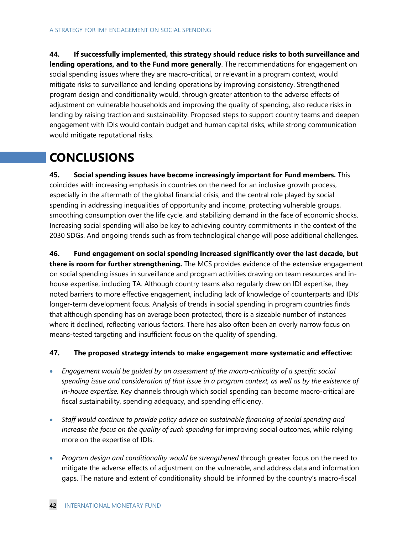**44. If successfully implemented, this strategy should reduce risks to both surveillance and lending operations, and to the Fund more generally**. The recommendations for engagement on social spending issues where they are macro-critical, or relevant in a program context, would mitigate risks to surveillance and lending operations by improving consistency. Strengthened program design and conditionality would, through greater attention to the adverse effects of adjustment on vulnerable households and improving the quality of spending, also reduce risks in lending by raising traction and sustainability. Proposed steps to support country teams and deepen engagement with IDIs would contain budget and human capital risks, while strong communication would mitigate reputational risks.

## **CONCLUSIONS**

**45. Social spending issues have become increasingly important for Fund members.** This coincides with increasing emphasis in countries on the need for an inclusive growth process, especially in the aftermath of the global financial crisis, and the central role played by social spending in addressing inequalities of opportunity and income, protecting vulnerable groups, smoothing consumption over the life cycle, and stabilizing demand in the face of economic shocks. Increasing social spending will also be key to achieving country commitments in the context of the 2030 SDGs. And ongoing trends such as from technological change will pose additional challenges.

**46. Fund engagement on social spending increased significantly over the last decade, but there is room for further strengthening.** The MCS provides evidence of the extensive engagement on social spending issues in surveillance and program activities drawing on team resources and inhouse expertise, including TA. Although country teams also regularly drew on IDI expertise, they noted barriers to more effective engagement, including lack of knowledge of counterparts and IDIs' longer-term development focus. Analysis of trends in social spending in program countries finds that although spending has on average been protected, there is a sizeable number of instances where it declined, reflecting various factors. There has also often been an overly narrow focus on means-tested targeting and insufficient focus on the quality of spending.

#### **47. The proposed strategy intends to make engagement more systematic and effective:**

- *Engagement would be guided by an assessment of the macro-criticality of a specific social spending issue and consideration of that issue in a program context, as well as by the existence of in-house expertise.* Key channels through which social spending can become macro-critical are fiscal sustainability, spending adequacy, and spending efficiency.
- *Staff would continue to provide policy advice on sustainable financing of social spending and increase the focus on the quality of such spending* for improving social outcomes, while relying more on the expertise of IDIs.
- *Program design and conditionality would be strengthened* through greater focus on the need to mitigate the adverse effects of adjustment on the vulnerable, and address data and information gaps. The nature and extent of conditionality should be informed by the country's macro-fiscal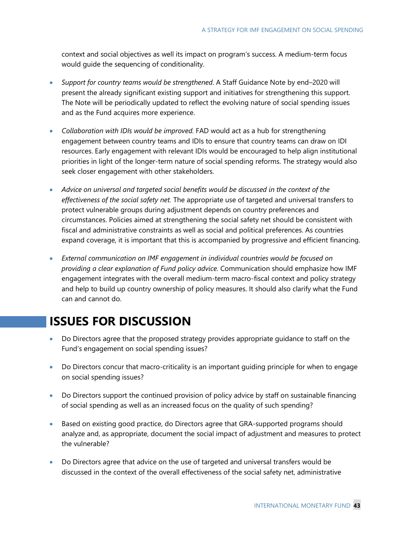context and social objectives as well its impact on program's success. A medium-term focus would guide the sequencing of conditionality.

- *Support for country teams would be strengthened*. A Staff Guidance Note by end–2020 will present the already significant existing support and initiatives for strengthening this support. The Note will be periodically updated to reflect the evolving nature of social spending issues and as the Fund acquires more experience.
- *Collaboration with IDIs would be improved.* FAD would act as a hub for strengthening engagement between country teams and IDIs to ensure that country teams can draw on IDI resources. Early engagement with relevant IDIs would be encouraged to help align institutional priorities in light of the longer-term nature of social spending reforms. The strategy would also seek closer engagement with other stakeholders.
- *Advice on universal and targeted social benefits would be discussed in the context of the effectiveness of the social safety net.* The appropriate use of targeted and universal transfers to protect vulnerable groups during adjustment depends on country preferences and circumstances. Policies aimed at strengthening the social safety net should be consistent with fiscal and administrative constraints as well as social and political preferences. As countries expand coverage, it is important that this is accompanied by progressive and efficient financing.
- *External communication on IMF engagement in individual countries would be focused on providing a clear explanation of Fund policy advice.* Communication should emphasize how IMF engagement integrates with the overall medium-term macro-fiscal context and policy strategy and help to build up country ownership of policy measures. It should also clarify what the Fund can and cannot do.

## **ISSUES FOR DISCUSSION**

- Do Directors agree that the proposed strategy provides appropriate guidance to staff on the Fund's engagement on social spending issues?
- Do Directors concur that macro-criticality is an important guiding principle for when to engage on social spending issues?
- Do Directors support the continued provision of policy advice by staff on sustainable financing of social spending as well as an increased focus on the quality of such spending?
- Based on existing good practice, do Directors agree that GRA-supported programs should analyze and, as appropriate, document the social impact of adjustment and measures to protect the vulnerable?
- Do Directors agree that advice on the use of targeted and universal transfers would be discussed in the context of the overall effectiveness of the social safety net, administrative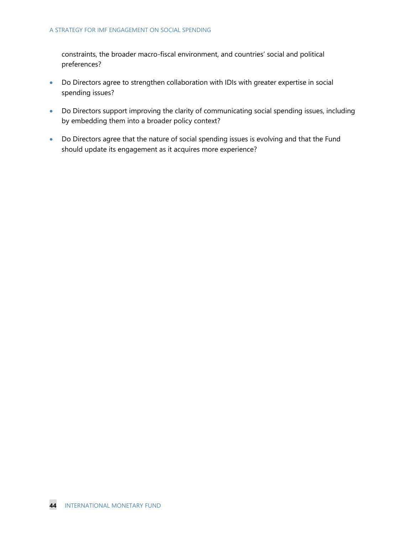constraints, the broader macro-fiscal environment, and countries' social and political preferences?

- Do Directors agree to strengthen collaboration with IDIs with greater expertise in social spending issues?
- Do Directors support improving the clarity of communicating social spending issues, including by embedding them into a broader policy context?
- Do Directors agree that the nature of social spending issues is evolving and that the Fund should update its engagement as it acquires more experience?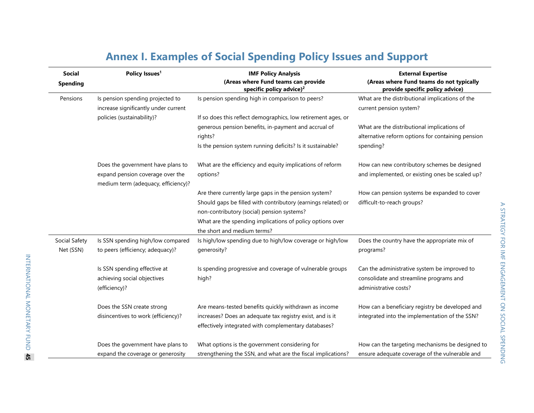| Policy Issues <sup>1</sup><br><b>Social</b><br><b>Spending</b> |                                      | <b>IMF Policy Analysis</b>                                                  | <b>External Expertise</b><br>(Areas where Fund teams do not typically<br>provide specific policy advice) |  |
|----------------------------------------------------------------|--------------------------------------|-----------------------------------------------------------------------------|----------------------------------------------------------------------------------------------------------|--|
|                                                                |                                      | (Areas where Fund teams can provide<br>specific policy advice) <sup>2</sup> |                                                                                                          |  |
| Pensions                                                       | Is pension spending projected to     | Is pension spending high in comparison to peers?                            | What are the distributional implications of the                                                          |  |
|                                                                | increase significantly under current |                                                                             | current pension system?                                                                                  |  |
|                                                                | policies (sustainability)?           | If so does this reflect demographics, low retirement ages, or               |                                                                                                          |  |
|                                                                |                                      | generous pension benefits, in-payment and accrual of                        | What are the distributional implications of                                                              |  |
|                                                                |                                      | rights?                                                                     | alternative reform options for containing pension                                                        |  |
|                                                                |                                      | Is the pension system running deficits? Is it sustainable?                  | spending?                                                                                                |  |
|                                                                | Does the government have plans to    | What are the efficiency and equity implications of reform                   | How can new contributory schemes be designed                                                             |  |
|                                                                | expand pension coverage over the     | options?                                                                    | and implemented, or existing ones be scaled up?                                                          |  |
|                                                                | medium term (adequacy, efficiency)?  |                                                                             |                                                                                                          |  |
|                                                                |                                      | Are there currently large gaps in the pension system?                       | How can pension systems be expanded to cover                                                             |  |
|                                                                |                                      | Should gaps be filled with contributory (earnings related) or               | difficult-to-reach groups?                                                                               |  |
|                                                                |                                      | non-contributory (social) pension systems?                                  |                                                                                                          |  |
|                                                                |                                      | What are the spending implications of policy options over                   |                                                                                                          |  |
|                                                                |                                      | the short and medium terms?                                                 |                                                                                                          |  |
| Social Safety                                                  | Is SSN spending high/low compared    | Is high/low spending due to high/low coverage or high/low                   | Does the country have the appropriate mix of                                                             |  |
| Net (SSN)                                                      | to peers (efficiency; adequacy)?     | generosity?                                                                 | programs?                                                                                                |  |
|                                                                | Is SSN spending effective at         | Is spending progressive and coverage of vulnerable groups                   | Can the administrative system be improved to                                                             |  |
|                                                                | achieving social objectives          | high?                                                                       | consolidate and streamline programs and                                                                  |  |
|                                                                | (efficiency)?                        |                                                                             | administrative costs?                                                                                    |  |
|                                                                | Does the SSN create strong           | Are means-tested benefits quickly withdrawn as income                       | How can a beneficiary registry be developed and                                                          |  |
|                                                                | disincentives to work (efficiency)?  | increases? Does an adequate tax registry exist, and is it                   | integrated into the implementation of the SSN?                                                           |  |
|                                                                |                                      | effectively integrated with complementary databases?                        |                                                                                                          |  |
|                                                                | Does the government have plans to    | What options is the government considering for                              | How can the targeting mechanisms be designed to                                                          |  |
|                                                                | expand the coverage or generosity    | strengthening the SSN, and what are the fiscal implications?                | ensure adequate coverage of the vulnerable and                                                           |  |

## **Annex I. Examples of Social Spending Policy Issues and Support**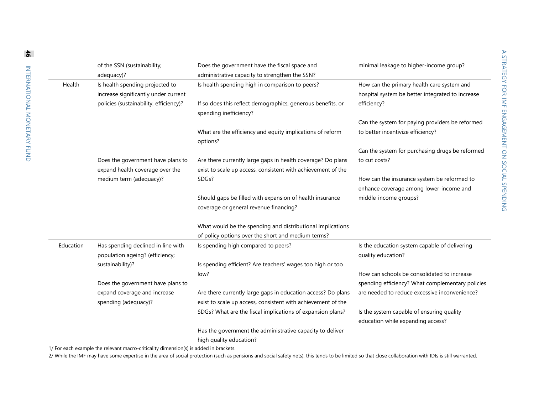|           | of the SSN (sustainability;                                           | Does the government have the fiscal space and                                         | minimal leakage to higher-income group?                                        |
|-----------|-----------------------------------------------------------------------|---------------------------------------------------------------------------------------|--------------------------------------------------------------------------------|
|           | adequacy)?                                                            | administrative capacity to strengthen the SSN?                                        |                                                                                |
| Health    | Is health spending projected to                                       | Is health spending high in comparison to peers?                                       | How can the primary health care system and                                     |
|           | increase significantly under current                                  |                                                                                       | hospital system be better integrated to increase                               |
|           | policies (sustainability, efficiency)?                                | If so does this reflect demographics, generous benefits, or<br>spending inefficiency? | efficiency?                                                                    |
|           |                                                                       |                                                                                       | Can the system for paying providers be reformed                                |
|           |                                                                       | What are the efficiency and equity implications of reform<br>options?                 | to better incentivize efficiency?                                              |
|           |                                                                       |                                                                                       | Can the system for purchasing drugs be reformed                                |
|           | Does the government have plans to                                     | Are there currently large gaps in health coverage? Do plans                           | to cut costs?                                                                  |
|           | expand health coverage over the                                       | exist to scale up access, consistent with achievement of the                          |                                                                                |
|           | medium term (adequacy)?                                               | SDGs?                                                                                 | How can the insurance system be reformed to                                    |
|           |                                                                       |                                                                                       | enhance coverage among lower-income and                                        |
|           |                                                                       | Should gaps be filled with expansion of health insurance                              | middle-income groups?                                                          |
|           |                                                                       | coverage or general revenue financing?                                                |                                                                                |
|           |                                                                       |                                                                                       |                                                                                |
|           |                                                                       | What would be the spending and distributional implications                            |                                                                                |
|           |                                                                       | of policy options over the short and medium terms?                                    |                                                                                |
| Education | Has spending declined in line with<br>population ageing? (efficiency; | Is spending high compared to peers?                                                   | Is the education system capable of delivering<br>quality education?            |
|           | sustainability)?                                                      | Is spending efficient? Are teachers' wages too high or too                            |                                                                                |
|           |                                                                       | low?                                                                                  | How can schools be consolidated to increase                                    |
|           | Does the government have plans to                                     |                                                                                       | spending efficiency? What complementary policies                               |
|           | expand coverage and increase                                          | Are there currently large gaps in education access? Do plans                          | are needed to reduce excessive inconvenience?                                  |
|           | spending (adequacy)?                                                  | exist to scale up access, consistent with achievement of the                          |                                                                                |
|           |                                                                       |                                                                                       |                                                                                |
|           |                                                                       | SDGs? What are the fiscal implications of expansion plans?                            | Is the system capable of ensuring quality<br>education while expanding access? |
|           |                                                                       | Has the government the administrative capacity to deliver                             |                                                                                |
|           |                                                                       | high quality education?                                                               |                                                                                |

1/ For each example the relevant macro-criticality dimension(s) is added in brackets.

2/ While the IMF may have some expertise in the area of social protection (such as pensions and social safety nets), this tends to be limited so that close collaboration with IDIs is still warranted.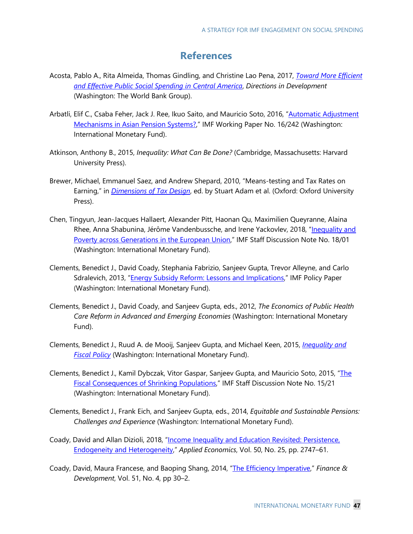## **References**

- Acosta, Pablo A., Rita Almeida, Thomas Gindling, and Christine Lao Pena, 2017, *[Toward More Efficient](https://openknowledge.worldbank.org/handle/10986/26659)  [and Effective Public Social Spending in Central America](https://openknowledge.worldbank.org/handle/10986/26659)*, *Directions in Development* (Washington: The World Bank Group).
- Arbatli, Elif C., Csaba Feher, Jack J. Ree, Ikuo Saito, and Mauricio Soto, 2016, "Automatic Adjustment [Mechanisms in Asian Pension Systems?,](https://www.imf.org/en/Publications/WP/Issues/2016/12/31/Automatic-Adjustment-Mechanisms-in-Asian-Pension-Systems-44460)" IMF Working Paper No. 16/242 (Washington: International Monetary Fund).
- Atkinson, Anthony B., 2015, *Inequality: What Can Be Done?* (Cambridge, Massachusetts: Harvard University Press).
- Brewer, Michael, Emmanuel Saez, and Andrew Shepard, 2010, "Means-testing and Tax Rates on Earning," in *[Dimensions of Tax Design](https://www.ifs.org.uk/publications/7184)*, ed. by Stuart Adam et al. (Oxford: Oxford University Press).
- Chen, Tingyun, Jean-Jacques Hallaert, Alexander Pitt, Haonan Qu, Maximilien Queyranne, Alaina Rhee, Anna Shabunina, Jérôme Vandenbussche, and Irene Yackovlev, 2018, "Inequality and [Poverty across Generations in the European Union,"](https://www.imf.org/en/Publications/Staff-Discussion-Notes/Issues/2018/01/23/Inequality-and-Poverty-across-Generations-in-the-European-Union-45137) IMF Staff Discussion Note No. 18/01 (Washington: International Monetary Fund).
- Clements, Benedict J., David Coady, Stephania Fabrizio, Sanjeev Gupta, Trevor Alleyne, and Carlo Sdralevich, 2013, ["Energy Subsidy Reform: Lessons and Implications,](https://www.imf.org/en/Publications/Policy-Papers/Issues/2016/12/31/Energy-Subsidy-Reform-Lessons-and-Implications-PP4741)" IMF Policy Paper (Washington: International Monetary Fund).
- Clements, Benedict J., David Coady, and Sanjeev Gupta, eds., 2012, *The Economics of Public Health Care Reform in Advanced and Emerging Economies* (Washington: International Monetary Fund).
- Clements, Benedict J., Ruud A. de Mooij, Sanjeev Gupta, and Michael Keen, 2015, *[Inequality and](https://www.bookstore.imf.org/books/title/inequality-and-fiscal-policy)  [Fiscal Policy](https://www.bookstore.imf.org/books/title/inequality-and-fiscal-policy)* (Washington: International Monetary Fund).
- Clements, Benedict J., Kamil Dybczak, Vitor Gaspar, Sanjeev Gupta, and Mauricio Soto, 2015, "The [Fiscal Consequences of Shrinking Populations,"](https://www.imf.org/en/Publications/Staff-Discussion-Notes/Issues/2016/12/31/The-Fiscal-Consequences-of-Shrinking-Populations-43345) IMF Staff Discussion Note No. 15/21 (Washington: International Monetary Fund).
- Clements, Benedict J., Frank Eich, and Sanjeev Gupta, eds., 2014, *Equitable and Sustainable Pensions: Challenges and Experience* (Washington: International Monetary Fund).
- Coady, David and Allan Dizioli, 2018, ["Income Inequality and Education Revisited: Persistence,](https://www.tandfonline.com/doi/full/10.1080/00036846.2017.1406659)  [Endogeneity and Heterogeneity,"](https://www.tandfonline.com/doi/full/10.1080/00036846.2017.1406659) *Applied Economics*, Vol. 50, No. 25, pp. 2747–61.
- Coady, David, Maura Francese, and Baoping Shang, 2014, ["The Efficiency Imperative,](https://www.imf.org/external/pubs/ft/fandd/2014/12/coady.htm)" *Finance & Development*, Vol. 51, No. 4, pp 30–2.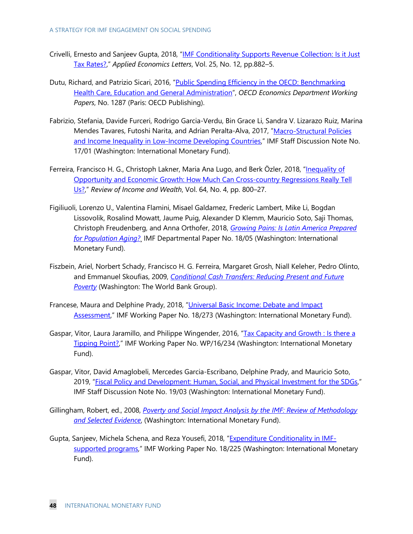- Crivelli, Ernesto and Sanjeev Gupta, 2018, ["IMF Conditionality Supports Revenue Collection: Is it Just](https://www.tandfonline.com/doi/full/10.1080/13504851.2017.1374534)  [Tax Rates?,](https://www.tandfonline.com/doi/full/10.1080/13504851.2017.1374534)" *Applied Economics Letters*, Vol. 25, No. 12, pp.882–5.
- Dutu, Richard, and Patrizio Sicari, 2016, "Public Spending Efficiency in the OECD: Benchmarking [Health Care, Education and General Administration"](https://www.oecd-ilibrary.org/economics/public-spending-efficiency-in-the-oecd_5jm3st732jnq-en), *OECD Economics Department Working Papers*, No. 1287 (Paris: OECD Publishing).
- Fabrizio, Stefania, Davide Furceri, Rodrigo Garcia-Verdu, Bin Grace Li, Sandra V. Lizarazo Ruiz, Marina Mendes Tavares, Futoshi Narita, and Adrian Peralta-Alva, 2017, ["Macro-Structural Policies](https://www.imf.org/en/Publications/Staff-Discussion-Notes/Issues/2017/01/26/Macro-Structural-Policies-and-Income-Inequality-in-Low-Income-Developing-Countries-44526)  [and Income Inequality in Low-Income Developing Countries,](https://www.imf.org/en/Publications/Staff-Discussion-Notes/Issues/2017/01/26/Macro-Structural-Policies-and-Income-Inequality-in-Low-Income-Developing-Countries-44526)" IMF Staff Discussion Note No. 17/01 (Washington: International Monetary Fund).
- Ferreira, Francisco H. G., Christoph Lakner, Maria Ana Lugo, and [Berk Özler,](https://onlinelibrary.wiley.com/action/doSearch?ContribAuthorStored=%C3%96zler%2C+Berk) 2018, "Inequality of [Opportunity and Economic Growth: How Much Can Cross-country Regressions Really Tell](https://onlinelibrary.wiley.com/doi/abs/10.1111/roiw.12311)  [Us?,](https://onlinelibrary.wiley.com/doi/abs/10.1111/roiw.12311)" *Review of Income and Wealth*, Vol. 64, No. 4, pp. 800–27.
- Figiliuoli, Lorenzo U., Valentina Flamini, Misael Galdamez, Frederic Lambert, Mike Li, Bogdan Lissovolik, Rosalind Mowatt, Jaume Puig, Alexander D Klemm, Mauricio Soto, Saji Thomas, Christoph Freudenberg, and Anna Orthofer, 2018, *[Growing Pains: Is Latin America Prepared](https://www.imf.org/%7E/media/Files/Publications/DP/2018/45382-growing-pains-is-latin-america-prepared-for-population-aging.ashx)  [for Population Aging?](https://www.imf.org/%7E/media/Files/Publications/DP/2018/45382-growing-pains-is-latin-america-prepared-for-population-aging.ashx)*¸ IMF Departmental Paper No. 18/05 (Washington: International Monetary Fund).
- Fiszbein, Ariel, Norbert Schady, Francisco H. G. Ferreira, Margaret Grosh, Niall Keleher, Pedro Olinto, and Emmanuel Skoufias, 2009, *[Conditional Cash Transfers: Reducing Present and Future](http://documents.worldbank.org/curated/en/914561468314712643/Conditional-cash-transfers-reducing-present-and-future-poverty)  [Poverty](http://documents.worldbank.org/curated/en/914561468314712643/Conditional-cash-transfers-reducing-present-and-future-poverty)* (Washington: The World Bank Group).
- Francese, Maura and Delphine Prady, 2018, "Universal Basic Income: Debate and Impact [Assessment,"](https://www.imf.org/en/Publications/WP/Issues/2018/12/10/Universal-Basic-Income-Debate-and-Impact-Assessment-46441) IMF Working Paper No. 18/273 (Washington: International Monetary Fund).
- Gaspar, Vitor, Laura Jaramillo, and Philippe Wingender, 2016, "Tax Capacity and Growth : Is there a [Tipping Point?,](https://www.imf.org/en/Publications/WP/Issues/2016/12/31/Tax-Capacity-and-Growth-Is-there-a-Tipping-Point-44436)" IMF Working Paper No. WP/16/234 (Washington: International Monetary Fund).
- Gaspar, Vitor, David Amaglobeli, Mercedes Garcia-Escribano, Delphine Prady, and Mauricio Soto, 2019, ["Fiscal Policy and Development: Human, Social, and](https://www.imf.org/en/Publications/Staff-Discussion-Notes/Issues/2019/01/18/Fiscal-Policy-and-Development-Human-Social-and-Physical-Investments-for-the-SDGs-46444) Physical Investment for the SDGs," IMF Staff Discussion Note No. 19/03 (Washington: International Monetary Fund).
- Gillingham, Robert, ed., 2008, *[Poverty and Social Impact Analysis by the IMF: Review of Methodology](https://www.imf.org/en/Publications/Books/Issues/2016/12/31/Poverty-and-Social-Impact-Analysis-by-the-IMF-Review-of-Methodology-and-Selected-Evidence-20563)  [and Selected Evidence](https://www.imf.org/en/Publications/Books/Issues/2016/12/31/Poverty-and-Social-Impact-Analysis-by-the-IMF-Review-of-Methodology-and-Selected-Evidence-20563)*, (Washington: International Monetary Fund).
- Gupta, Sanjeev, Michela Schena, and Reza Yousefi, 2018, ["Expenditure Conditionality in IMF](https://www.imf.org/en/Publications/WP/Issues/2018/12/07/Expenditure-Conditionality-in-IMF-supported-Programs-46448)[supported programs,](https://www.imf.org/en/Publications/WP/Issues/2018/12/07/Expenditure-Conditionality-in-IMF-supported-Programs-46448)" IMF Working Paper No. 18/225 (Washington: International Monetary Fund).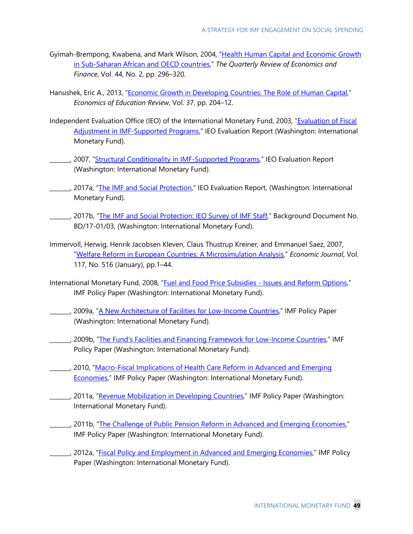- Gyimah-Brempong, Kwabena, and Mark Wilson, 2004, "Health Human Capital and Economic Growth [in Sub-Saharan African and OECD countries,](https://doi.org/10.1016/j.qref.2003.07.002)" *The Quarterly Review of Economics and Finance*, Vol. 44, No. 2, pp. 296–320.
- Hanushek, Eric A., 2013, ["Economic Growth in Developing Countries: The Role of Human Capital,](https://doi.org/10.1016/j.econedurev.2013.04.005)" *Economics of Education Review*, Vol. 37, pp. 204–12.
- Independent Evaluation Office (IEO) of the International Monetary Fund, 2003, "Evaluation of Fiscal [Adjustment in IMF-Supported Programs,](https://www.imf.org/ieo/pages/CompletedEvaluation134.aspx)" IEO Evaluation Report (Washington: International Monetary Fund).
- \_\_\_\_\_, 2007, ["Structural Conditionality in IMF-Supported Programs,](https://www.imf.org/ieo/files/completedevaluations/01032008SC_main_report.pdf)" IEO Evaluation Report (Washington: International Monetary Fund).
- 2017a, ["The IMF and Social Protection,](https://www.imf.org/ieo/pages/EvaluationImages279.aspx)" IEO Evaluation Report, (Washington: International Monetary Fund).
- \_\_\_\_\_\_, 2017b, ["The IMF and Social Protection: IEO Survey of IMF Staff,"](https://www.imf.org/ieo/files/completedevaluations/SP%20-%20BD3%20-%20IEO%20Survey%20of%20IMF%20Staff%20-%20Web.pdf) Background Document No. BD/17-01/03, (Washington: International Monetary Fund).
- Immervoll, Herwig, Henrik Jacobsen Kleven, Claus Thustrup Kreiner, and Emmanuel Saez, 2007, ["Welfare Reform in European Countries: A Microsimulation Analysis,"](https://onlinelibrary.wiley.com/doi/abs/10.1111/j.1468-0297.2007.02000.x) *Economic Journal*, Vol. 117, No. 516 (January), pp.1–44.
- International Monetary Fund, 2008, "Fuel and Food Price Subsidies [Issues and Reform Options,"](https://www.imf.org/en/Publications/Policy-Papers/Issues/2016/12/31/Fuel-and-Food-Price-Subsidies-Issues-and-Reform-Options-PP4293) IMF Policy Paper (Washington: International Monetary Fund).
- L. 2009a, ["A New Architecture of Facilities for Low-Income Countries,"](https://www.imf.org/en/Publications/Policy-Papers/Issues/2016/12/31/A-New-Architecture-of-Facilities-for-Low-Income-Countries-PP4363) IMF Policy Paper (Washington: International Monetary Fund).
- \_\_\_\_\_\_\_, 2009b, ["The Fund's Facilities and Financing Framework for Low-Income Countries,](https://www.imf.org/en/Publications/Policy-Papers/Issues/2016/12/31/The-Fund-s-Facilities-and-Financing-Framework-for-Low-Income-Countries-PP4319)" IMF Policy Paper (Washington: International Monetary Fund).
- \_\_\_\_\_\_\_, 2010, ["Macro-Fiscal Implications of Health Care Reform in Advanced and Emerging](https://www.imf.org/en/Publications/Policy-Papers/Issues/2016/12/31/Macro-Fiscal-Implications-of-Health-Care-Reform-in-Advanced-and-Emerging-Economies-PP4521)  [Economies,"](https://www.imf.org/en/Publications/Policy-Papers/Issues/2016/12/31/Macro-Fiscal-Implications-of-Health-Care-Reform-in-Advanced-and-Emerging-Economies-PP4521) IMF Policy Paper (Washington: International Monetary Fund).
- \_\_\_, 2011a, ["Revenue Mobilization in Developing Countries,](https://www.imf.org/en/Publications/Policy-Papers/Issues/2016/12/31/Revenue-Mobilization-in-Developing-Countries-PP4537)" IMF Policy Paper (Washington: International Monetary Fund).
- \_\_\_\_\_\_\_, 2011b, ["The Challenge of Public Pension Reform in Advanced and Emerging Economies,"](https://www.imf.org/en/Publications/Policy-Papers/Issues/2016/12/31/The-Challenge-of-Public-Pension-Reform-in-Advanced-and-Emerging-Economies-PP4626) IMF Policy Paper (Washington: International Monetary Fund).
- 2012a, ["Fiscal Policy and Employment in Advanced and Emerging Economies,](https://www.imf.org/en/Publications/Policy-Papers/Issues/2016/12/31/Fiscal-Policy-and-Employment-in-Advanced-and-Emerging-Economies-PP4668)" IMF Policy Paper (Washington: International Monetary Fund).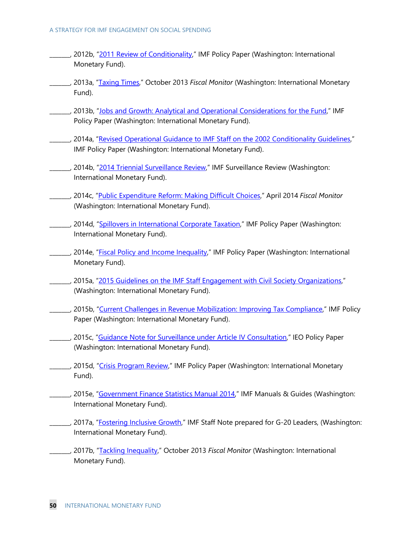- \_\_\_, 2012b, ["2011 Review of Conditionality,](https://www.imf.org/en/Publications/Policy-Papers/Issues/2016/12/31/2011-Review-of-Conditionality-Overview-Paper-PP4692)" IMF Policy Paper (Washington: International Monetary Fund).
- \_\_\_\_\_\_\_, 2013a, ["Taxing Times,"](https://www.imf.org/en/Publications/FM/Issues/2016/12/31/Taxing-Times) October 2013 *Fiscal Monitor* (Washington: International Monetary Fund).
- \_\_\_\_\_, 2013b, ["Jobs and Growth: Analytical and Operational Considerations for the Fund,](https://www.imf.org/en/Publications/Policy-Papers/Issues/2016/12/31/Jobs-and-Growth-Analytical-and-Operational-Considerations-for-the-Fund-PP4750)" IMF Policy Paper (Washington: International Monetary Fund).
- \_\_\_\_\_\_\_, 2014a, ["Revised Operational Guidance to IMF Staff on the 2002 Conditionality Guidelines,"](https://www.imf.org/en/Publications/Policy-Papers/Issues/2016/12/31/Revised-Operational-Guidance-to-IMF-Staff-on-the-2002-Conditionality-Guidelines-PP4889) IMF Policy Paper (Washington: International Monetary Fund).
- \_\_\_\_\_, 2014b, ["2014 Triennial Surveillance Review,](https://www.imf.org/external/np/spr/triennial/2014/index.htm)" IMF Surveillance Review (Washington: International Monetary Fund).
- \_\_\_\_\_\_\_, 2014c, ["Public Expenditure Reform: Making Difficult Choices,](https://www.imf.org/en/Publications/FM/Issues/2016/12/31/Public-Expenditure-Reform-Making-Difficult-Choices-41121)" April 2014 *Fiscal Monitor* (Washington: International Monetary Fund).
- \_\_\_\_\_, 2014d, ["Spillovers in International Corporate Taxation,](https://www.imf.org/en/Publications/Policy-Papers/Issues/2016/12/31/Spillovers-in-International-Corporate-Taxation-PP4873)" IMF Policy Paper (Washington: International Monetary Fund).
- 2014e, ["Fiscal Policy and Income Inequality,](https://www.imf.org/en/Publications/Policy-Papers/Issues/2016/12/31/Fiscal-Policy-and-Income-Inequality-PP4849)" IMF Policy Paper (Washington: International Monetary Fund).
- \_\_\_\_\_\_\_, 2015a, ["2015 Guidelines on the IMF Staff Engagement with Civil Society Organizations,"](https://www.imf.org/external/np/exr/consult/2015/civilsociety/pdf/CSOs_Guidelines.pdf) (Washington: International Monetary Fund).
- \_\_\_\_\_, 2015b, ["Current Challenges in Revenue Mobilization: Improving Tax Compliance,](https://www.imf.org/en/Publications/Policy-Papers/Issues/2016/12/31/Current-Challenges-in-Revenue-Mobilization-Improving-Tax-Compliance-PP4944)" IMF Policy Paper (Washington: International Monetary Fund).
- \_\_\_\_\_, 2015c, ["Guidance Note for Surveillance under Article IV Consultation,](https://www.imf.org/en/Publications/Policy-Papers/Issues/2016/12/31/Guidance-Note-for-Surveillance-Under-Article-IV-Consultations-PP4949)" IEO Policy Paper (Washington: International Monetary Fund).
- \_\_\_\_\_, 2015d, ["Crisis Program Review,"](https://www.imf.org/en/Publications/Policy-Papers/Issues/2016/12/31/Crisis-Program-Review-PP5010) IMF Policy Paper (Washington: International Monetary Fund).
- \_\_\_\_\_, 2015e, ["Government Finance Statistics Manual 2014,](https://www.imf.org/en/Publications/Manuals-Guides/Issues/2016/12/31/Government-Finance-Statistics-Manual-2014-Manual-41592)" IMF Manuals & Guides (Washington: International Monetary Fund).
- \_\_\_\_\_, 2017a, ["Fostering Inclusive Growth,](https://www.imf.org/external/np/g20/pdf/2017/062617.pdf)" IMF Staff Note prepared for G-20 Leaders, (Washington: International Monetary Fund).
- \_\_\_\_\_\_\_, 2017b, ["Tackling Inequality,"](http://www.imf.org/en/Publications/FM/Issues/2017/10/05/fiscal-monitor-october-2017) October 2013 *Fiscal Monitor* (Washington: International Monetary Fund).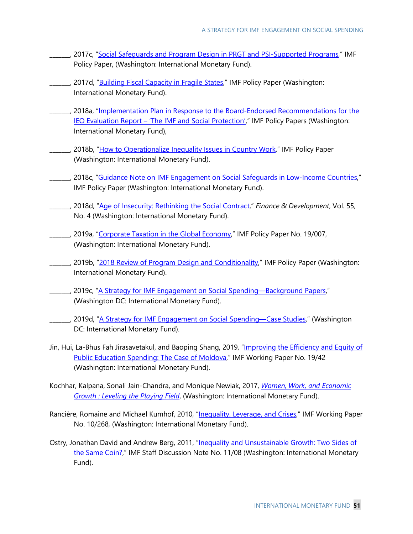- 2017c, ["Social Safeguards and Program Design in PRGT and PSI-Supported Programs,](https://www.imf.org/en/Publications/Policy-Papers/Issues/2017/06/01/pp042117social-safeguards-and-program-design-in-prgt-and-psi)" IMF Policy Paper, (Washington: International Monetary Fund).
- \_\_\_\_, 2017d, ["Building Fiscal Capacity in Fragile States,](https://www.imf.org/en/Publications/Policy-Papers/Issues/2017/06/14/pp041817building-fiscal-capacity-in-fragile-state)" IMF Policy Paper (Washington: International Monetary Fund).
- \_\_\_\_\_, 2018a, "Implementation Plan in Response to the Board-Endorsed Recommendations for the IEO Evaluation Report – ['The IMF and Social Protection',](http://www.imf.org/en/Publications/Policy-Papers/Issues/2018/02/02/pp011718-imp-in-response-to-ieo-report-on-imf-and-social-protection)" IMF Policy Papers (Washington: International Monetary Fund),
- 2018b, ["How to Operationalize Inequality Issues in Country Work,](http://intranetapps.imf.org/fundwide/ke/Topics/Income-Inequality/Pages/collaboration.aspx)" IMF Policy Paper (Washington: International Monetary Fund).
- \_\_\_\_\_, 2018c, ["Guidance Note on IMF Engagement on Social Safeguards in Low-Income Countries,"](https://www.imf.org/en/Publications/Policy-Papers/Issues/2018/07/11/pp061418guidance-note-on-imf-engagement-on-social-safeguards-in-lics) IMF Policy Paper (Washington: International Monetary Fund).
- \_\_\_\_\_\_\_, 2018d, ["Age of Insecurity: Rethinking the Social Contract,](https://www.imf.org/external/pubs/ft/fandd/2018/12/index.htm)" *Finance & Development*, Vol. 55, No. 4 (Washington: International Monetary Fund).
- 2019a, ["Corporate Taxation in the Global Economy,"](https://www.imf.org/en/Publications/Policy-Papers/Issues/2019/03/08/Corporate-Taxation-in-the-Global-Economy-46650) IMF Policy Paper No. 19/007, (Washington: International Monetary Fund).
- \_\_\_\_\_, 2019b, "2018 Review of [Program Design and](https://www.imf.org/en/Publications/Policy-Papers/Issues/2019/05/20/2018-Review-of-Program-Design-and-Conditionality-46910) Conditionality," IMF Policy Paper (Washington: International Monetary Fund).
- 2019c, ["A Strategy for IMF Engagement on Social Spending—Background Papers,](https://www.imf.org/en/Publications/Policy-Papers/Issues/2019/06/10/A-Strategy-for-IMF-Engagement-on-Social-Spending-Background-Papers-46976)" (Washington DC: International Monetary Fund).
- \_\_\_\_\_, 2019d, ["A Strategy for IMF Engagement on Social Spending—Case Studies,"](https://www.imf.org/en/Publications/Policy-Papers/Issues/2019/06/10/A-Strategy-for-IMF-Engagement-on-Social-Spending-Case-Studies-46977) (Washington DC: International Monetary Fund).
- Jin, Hui, La-Bhus Fah Jirasavetakul, and Baoping Shang, 2019, "Improving the Efficiency and Equity of [Public Education Spending: The Case of Moldova,](https://www.imf.org/en/Publications/WP/Issues/2019/02/26/Improving-the-Efficiency-and-Equity-of-Public-Education-Spending-The-Case-of-Moldova-46466)" IMF Working Paper No. 19/42 (Washington: International Monetary Fund).
- Kochhar, [Kalpana, S](https://www.imf.org/en/Publications/Publications-By-Author?author=Kalpana++Kochhar&name=Kalpana%20%20Kochhar)onali Jain-Chandra, and Monique Newiak, 2017, *[Women, Work, and Economic](https://www.imf.org/en/Publications/Books/Issues/2017/03/17/Women-Work-and-Economic-Growth-Leveling-the-Playing-Field-43640)  [Growth : Leveling the Playing Field](https://www.imf.org/en/Publications/Books/Issues/2017/03/17/Women-Work-and-Economic-Growth-Leveling-the-Playing-Field-43640)*, (Washington: International Monetary Fund).
- Rancière, Romaine and Michael Kumhof, 2010, ["Inequality, Leverage, and Crises,"](https://www.imf.org/en/Publications/WP/Issues/2016/12/31/Inequality-Leverage-and-Crises-24378) IMF Working Paper No. 10/268, (Washington: International Monetary Fund).
- Ostry, Jonathan David and Andrew Berg, 2011, "Inequality and Unsustainable Growth: Two Sides of [the Same Coin?,"](https://www.imf.org/en/Publications/Staff-Discussion-Notes/Issues/2016/12/31/Inequality-and-Unsustainable-Growth-Two-Sides-of-the-Same-Coin-24686) IMF Staff Discussion Note No. 11/08 (Washington: International Monetary Fund).